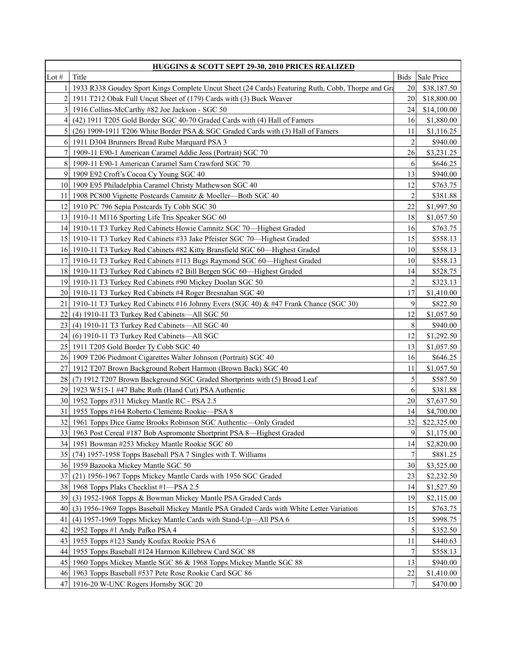| <b>HUGGINS &amp; SCOTT SEPT 29-30, 2010 PRICES REALIZED</b> |                                                                                                   |                |             |
|-------------------------------------------------------------|---------------------------------------------------------------------------------------------------|----------------|-------------|
| Lot $#$                                                     | Title                                                                                             | <b>Bids</b>    | Sale Price  |
|                                                             | 1933 R338 Goudey Sport Kings Complete Uncut Sheet (24 Cards) Featuring Ruth, Cobb, Thorpe and Gra | 20             | \$38,187.50 |
| $\overline{2}$                                              | 1911 T212 Obak Full Uncut Sheet of (179) Cards with (3) Buck Weaver                               | 20             | \$18,800.00 |
|                                                             | 3 1916 Collins-McCarthy #82 Joe Jackson - SGC 50                                                  | 24             | \$14,100.00 |
| 41                                                          | (42) 1911 T205 Gold Border SGC 40-70 Graded Cards with (4) Hall of Famers                         | 16             | \$1,880.00  |
| $\mathfrak{S}$                                              | $(26)$ 1909-1911 T206 White Border PSA & SGC Graded Cards with $(3)$ Hall of Famers               | 11             | \$1,116.25  |
| 6                                                           | 1911 D304 Brunners Bread Rube Marquard PSA 3                                                      | $\overline{2}$ | \$940.00    |
| $\tau$                                                      | 1909-11 E90-1 American Caramel Addie Joss (Portrait) SGC 70                                       | 26             | \$3,231.25  |
| 8 <sup>l</sup>                                              | 1909-11 E90-1 American Caramel Sam Crawford SGC 70                                                | 6              | \$646.25    |
|                                                             | 9 1909 E92 Croft's Cocoa Cy Young SGC 40                                                          | 13             | \$940.00    |
|                                                             | 10 1909 E95 Philadelphia Caramel Christy Mathewson SGC 40                                         | 12             | \$763.75    |
| 111                                                         | 1908 PC800 Vignette Postcards Camnitz & Moeller-Both SGC 40                                       | $\overline{c}$ | \$381.88    |
| 12I                                                         | 1910 PC 796 Sepia Postcards Ty Cobb SGC 30                                                        | 22             | \$1,997.50  |
|                                                             | 13 1910-11 M116 Sporting Life Tris Speaker SGC 60                                                 | 18             | \$1,057.50  |
|                                                             | 14   1910-11 T3 Turkey Red Cabinets Howie Camnitz SGC 70—Highest Graded                           | 16             | \$763.75    |
|                                                             | 15 1910-11 T3 Turkey Red Cabinets #33 Jake Pfeister SGC 70—Highest Graded                         | 15             | \$558.13    |
|                                                             | 16 1910-11 T3 Turkey Red Cabinets #82 Kitty Bransfield SGC 60—Highest Graded                      | 10             | \$558.13    |
|                                                             | 17   1910-11 T3 Turkey Red Cabinets #113 Bugs Raymond SGC 60-Highest Graded                       | 10             | \$558.13    |
|                                                             | 18 1910-11 T3 Turkey Red Cabinets #2 Bill Bergen SGC 60—Highest Graded                            | 14             | \$528.75    |
|                                                             | 19 1910-11 T3 Turkey Red Cabinets #90 Mickey Doolan SGC 50                                        | 2              | \$323.13    |
|                                                             | 20 1910-11 T3 Turkey Red Cabinets #4 Roger Bresnahan SGC 40                                       | 17             | \$1,410.00  |
| 21 I                                                        | 1910-11 T3 Turkey Red Cabinets #16 Johnny Evers (SGC 40) & #47 Frank Chance (SGC 30)              | 9              | \$822.50    |
|                                                             | 22 (4) 1910-11 T3 Turkey Red Cabinets—All SGC 50                                                  | 12             | \$1,057.50  |
|                                                             | 23 (4) 1910-11 T3 Turkey Red Cabinets—All SGC 40                                                  | 8              | \$940.00    |
|                                                             | 24 (6) 1910-11 T3 Turkey Red Cabinets-All SGC                                                     | 12             | \$1,292.50  |
|                                                             | 25 1911 T205 Gold Border Ty Cobb SGC 40                                                           | 13             | \$1,057.50  |
|                                                             | 26 1909 T206 Piedmont Cigarettes Walter Johnson (Portrait) SGC 40                                 | 16             | \$646.25    |
| 27 I                                                        | 1912 T207 Brown Background Robert Harmon (Brown Back) SGC 40                                      | 11             | \$1,057.50  |
|                                                             | 28 (7) 1912 T207 Brown Background SGC Graded Shortprints with (5) Broad Leaf                      | 5              | \$587.50    |
|                                                             | 29 1923 W515-1 #47 Babe Ruth (Hand Cut) PSA Authentic                                             | 6              | \$381.88    |
|                                                             | 30 1952 Topps #311 Mickey Mantle RC - PSA 2.5                                                     | 20             | \$7,637.50  |
| 31 I                                                        | 1955 Topps #164 Roberto Clemente Rookie—PSA 8                                                     | 14             | \$4,700.00  |
|                                                             | 32 1961 Topps Dice Game Brooks Robinson SGC Authentic—Only Graded                                 | 32             | \$22,325.00 |
|                                                             | 33 1963 Post Cereal #187 Bob Aspromonte Shortprint PSA 8-Highest Graded                           | $\mathbf{9}$   | \$1,175.00  |
|                                                             | 34   1951 Bowman #253 Mickey Mantle Rookie SGC 60                                                 | 14             | \$2,820.00  |
|                                                             | 35 (74) 1957-1958 Topps Baseball PSA 7 Singles with T. Williams                                   | 7              | \$881.25    |
|                                                             | 36 1959 Bazooka Mickey Mantle SGC 50                                                              | 30             | \$3,525.00  |
| 37                                                          | (21) 1956-1967 Topps Mickey Mantle Cards with 1956 SGC Graded                                     | 23             | \$2,232.50  |
| 381                                                         | 1968 Topps Plaks Checklist #1-PSA 2.5                                                             | 14             | \$1,527.50  |
| 39                                                          | (3) 1952-1968 Topps & Bowman Mickey Mantle PSA Graded Cards                                       | 19             | \$2,115.00  |
| 40                                                          | (3) 1956-1969 Topps Baseball Mickey Mantle PSA Graded Cards with White Letter Variation           | 15             | \$763.75    |
| 41                                                          | (4) 1957-1969 Topps Mickey Mantle Cards with Stand-Up—All PSA 6                                   | 15             | \$998.75    |
| 421                                                         | 1952 Topps #1 Andy Pafko PSA 4                                                                    | 5              | \$352.50    |
| 431                                                         | 1955 Topps #123 Sandy Koufax Rookie PSA 6                                                         | 11             | \$440.63    |
| 44                                                          | 1955 Topps Baseball #124 Harmon Killebrew Card SGC 88                                             | 7              | \$558.13    |
| 45                                                          | 1960 Topps Mickey Mantle SGC 86 & 1968 Topps Mickey Mantle SGC 88                                 | 13             | \$940.00    |
|                                                             | 46 1963 Topps Baseball #537 Pete Rose Rookie Card SGC 86                                          | 22             | \$1,410.00  |
|                                                             | 47 1916-20 W-UNC Rogers Hornsby SGC 20                                                            | 7              | \$470.00    |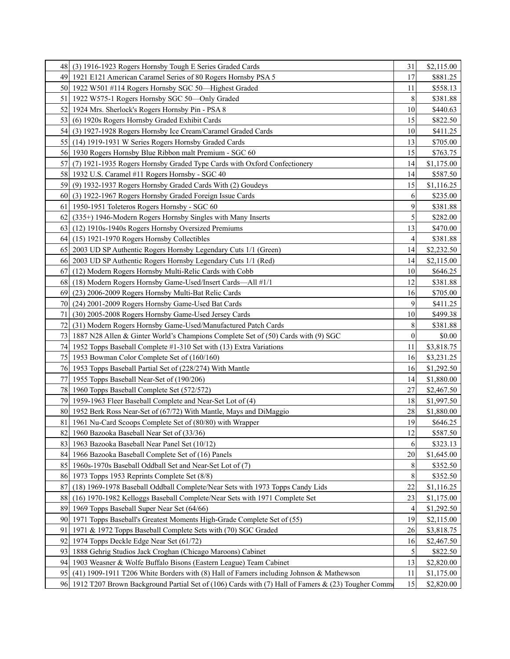| 48   | (3) 1916-1923 Rogers Hornsby Tough E Series Graded Cards                                              | 31               | \$2,115.00 |
|------|-------------------------------------------------------------------------------------------------------|------------------|------------|
| 49   | 1921 E121 American Caramel Series of 80 Rogers Hornsby PSA 5                                          | 17               | \$881.25   |
| 50I  | 1922 W501 #114 Rogers Hornsby SGC 50—Highest Graded                                                   | 11               | \$558.13   |
| 51   | 1922 W575-1 Rogers Hornsby SGC 50-Only Graded                                                         | 8                | \$381.88   |
| 52 I | 1924 Mrs. Sherlock's Rogers Hornsby Pin - PSA 8                                                       | 10               | \$440.63   |
| 531  | (6) 1920s Rogers Hornsby Graded Exhibit Cards                                                         | 15               | \$822.50   |
| 54   | (3) 1927-1928 Rogers Hornsby Ice Cream/Caramel Graded Cards                                           | 10               | \$411.25   |
| 55 I | (14) 1919-1931 W Series Rogers Hornsby Graded Cards                                                   | 13               | \$705.00   |
| 56   | 1930 Rogers Hornsby Blue Ribbon malt Premium - SGC 60                                                 | 15               | \$763.75   |
| 57   | (7) 1921-1935 Rogers Hornsby Graded Type Cards with Oxford Confectionery                              | 14               | \$1,175.00 |
|      | 58 1932 U.S. Caramel #11 Rogers Hornsby - SGC 40                                                      | 14               | \$587.50   |
| 59I  | (9) 1932-1937 Rogers Hornsby Graded Cards With (2) Goudeys                                            | 15               | \$1,116.25 |
| 60   | (3) 1922-1967 Rogers Hornsby Graded Foreign Issue Cards                                               | 6                | \$235.00   |
| 61   | 1950-1951 Toleteros Rogers Hornsby - SGC 60                                                           | 9                | \$381.88   |
| 62   | (335+) 1946-Modern Rogers Hornsby Singles with Many Inserts                                           | 5                | \$282.00   |
| 63   | (12) 1910s-1940s Rogers Hornsby Oversized Premiums                                                    | 13               | \$470.00   |
| 64   | (15) 1921-1970 Rogers Hornsby Collectibles                                                            | 4                | \$381.88   |
| 65   | 2003 UD SP Authentic Rogers Hornsby Legendary Cuts 1/1 (Green)                                        | 14               | \$2,232.50 |
| 66   | 2003 UD SP Authentic Rogers Hornsby Legendary Cuts 1/1 (Red)                                          | 14               | \$2,115.00 |
| 67   | (12) Modern Rogers Hornsby Multi-Relic Cards with Cobb                                                | 10               | \$646.25   |
| 68   | (18) Modern Rogers Hornsby Game-Used/Insert Cards—All #1/1                                            | 12               | \$381.88   |
| 69   | (23) 2006-2009 Rogers Hornsby Multi-Bat Relic Cards                                                   | 16               | \$705.00   |
| 70   | (24) 2001-2009 Rogers Hornsby Game-Used Bat Cards                                                     | 9                | \$411.25   |
| 71   | (30) 2005-2008 Rogers Hornsby Game-Used Jersey Cards                                                  | 10               | \$499.38   |
| 72   | (31) Modern Rogers Hornsby Game-Used/Manufactured Patch Cards                                         | 8                | \$381.88   |
| 73   | 1887 N28 Allen & Ginter World's Champions Complete Set of (50) Cards with (9) SGC                     | $\boldsymbol{0}$ | \$0.00     |
| 74   | 1952 Topps Baseball Complete #1-310 Set with (13) Extra Variations                                    | 11               | \$3,818.75 |
| 751  | 1953 Bowman Color Complete Set of (160/160)                                                           | 16               | \$3,231.25 |
|      | 76 1953 Topps Baseball Partial Set of (228/274) With Mantle                                           | 16               | \$1,292.50 |
| 77   | 1955 Topps Baseball Near-Set of (190/206)                                                             | 14               | \$1,880.00 |
| 78 I | 1960 Topps Baseball Complete Set (572/572)                                                            | 27               | \$2,467.50 |
| 79   | 1959-1963 Fleer Baseball Complete and Near-Set Lot of (4)                                             | 18               | \$1,997.50 |
| 80   | 1952 Berk Ross Near-Set of (67/72) With Mantle, Mays and DiMaggio                                     | 28               | \$1,880.00 |
| 81   | 1961 Nu-Card Scoops Complete Set of (80/80) with Wrapper                                              | 19               | \$646.25   |
| 82   | 1960 Bazooka Baseball Near Set of (33/36)                                                             | 12               | \$587.50   |
|      | 83 1963 Bazooka Baseball Near Panel Set (10/12)                                                       | 6                | \$323.13   |
| 841  | 1966 Bazooka Baseball Complete Set of (16) Panels                                                     | 20               | \$1,645.00 |
|      | 85 1960s-1970s Baseball Oddball Set and Near-Set Lot of (7)                                           | 8                | \$352.50   |
|      | 86 1973 Topps 1953 Reprints Complete Set (8/8)                                                        | 8                | \$352.50   |
| 87   | (18) 1969-1978 Baseball Oddball Complete/Near Sets with 1973 Topps Candy Lids                         | 22               | \$1,116.25 |
| 88   | (16) 1970-1982 Kelloggs Baseball Complete/Near Sets with 1971 Complete Set                            | 23               | \$1,175.00 |
| 89   | 1969 Topps Baseball Super Near Set (64/66)                                                            | 4                | \$1,292.50 |
| 901  | 1971 Topps Baseball's Greatest Moments High-Grade Complete Set of (55)                                | 19               | \$2,115.00 |
| 91   | 1971 & 1972 Topps Baseball Complete Sets with (70) SGC Graded                                         | 26               | \$3,818.75 |
| 92   | 1974 Topps Deckle Edge Near Set (61/72)                                                               | 16               | \$2,467.50 |
| 93   | 1888 Gehrig Studios Jack Croghan (Chicago Maroons) Cabinet                                            | 5                | \$822.50   |
| 94   | 1903 Weasner & Wolfe Buffalo Bisons (Eastern League) Team Cabinet                                     | 13               | \$2,820.00 |
| 951  | (41) 1909-1911 T206 White Borders with (8) Hall of Famers including Johnson & Mathewson               | 11               | \$1,175.00 |
|      | 96 1912 T207 Brown Background Partial Set of (106) Cards with (7) Hall of Famers & (23) Tougher Commo | 15               | \$2,820.00 |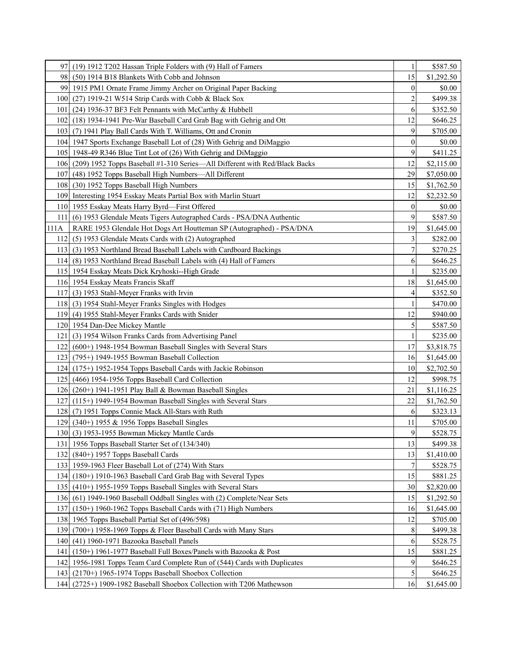| 97               | (19) 1912 T202 Hassan Triple Folders with (9) Hall of Famers                   | 1                | \$587.50   |
|------------------|--------------------------------------------------------------------------------|------------------|------------|
| 981              | (50) 1914 B18 Blankets With Cobb and Johnson                                   | 15               | \$1,292.50 |
| 99               | 1915 PM1 Ornate Frame Jimmy Archer on Original Paper Backing                   | $\boldsymbol{0}$ | \$0.00     |
|                  | 100 (27) 1919-21 W514 Strip Cards with Cobb & Black Sox                        | 2                | \$499.38   |
| 101 <sup>1</sup> | (24) 1936-37 BF3 Felt Pennants with McCarthy & Hubbell                         | 6                | \$352.50   |
| 1021             | (18) 1934-1941 Pre-War Baseball Card Grab Bag with Gehrig and Ott              | 12               | \$646.25   |
| 1031             | (7) 1941 Play Ball Cards With T. Williams, Ott and Cronin                      | 9                | \$705.00   |
|                  | 104   1947 Sports Exchange Baseball Lot of (28) With Gehrig and DiMaggio       | $\boldsymbol{0}$ | \$0.00     |
|                  | 105 1948-49 R346 Blue Tint Lot of (26) With Gehrig and DiMaggio                | 9                | \$411.25   |
|                  | 106 (209) 1952 Topps Baseball #1-310 Series—All Different with Red/Black Backs | 12               | \$2,115.00 |
|                  | 107 (48) 1952 Topps Baseball High Numbers—All Different                        | 29               | \$7,050.00 |
| 108 <sub>1</sub> | (30) 1952 Topps Baseball High Numbers                                          | 15               | \$1,762.50 |
|                  | 109 Interesting 1954 Esskay Meats Partial Box with Marlin Stuart               | 12               | \$2,232.50 |
|                  | 110 1955 Esskay Meats Harry Byrd—First Offered                                 | $\boldsymbol{0}$ | \$0.00     |
| 111 I            | (6) 1953 Glendale Meats Tigers Autographed Cards - PSA/DNA Authentic           | 9                | \$587.50   |
| 111A             | RARE 1953 Glendale Hot Dogs Art Houtteman SP (Autographed) - PSA/DNA           | 19               | \$1,645.00 |
| 112              | (5) 1953 Glendale Meats Cards with (2) Autographed                             | 3                | \$282.00   |
|                  | 113 (3) 1953 Northland Bread Baseball Labels with Cardboard Backings           | 7                | \$270.25   |
|                  | 114 (8) 1953 Northland Bread Baseball Labels with (4) Hall of Famers           | 6                | \$646.25   |
|                  | 115   1954 Esskay Meats Dick Kryhoski--High Grade                              |                  | \$235.00   |
|                  | 116 1954 Esskay Meats Francis Skaff                                            | 18               | \$1,645.00 |
| 117 <sub>1</sub> | (3) 1953 Stahl-Meyer Franks with Irvin                                         | 4                | \$352.50   |
|                  | 118 (3) 1954 Stahl-Meyer Franks Singles with Hodges                            | 1                | \$470.00   |
|                  | 119 (4) 1955 Stahl-Meyer Franks Cards with Snider                              | 12               | \$940.00   |
|                  | 120 1954 Dan-Dee Mickey Mantle                                                 | 5                | \$587.50   |
| 121              | (3) 1954 Wilson Franks Cards from Advertising Panel                            |                  | \$235.00   |
| 1221             | (600+) 1948-1954 Bowman Baseball Singles with Several Stars                    | 17               | \$3,818.75 |
| 1231             | (795+) 1949-1955 Bowman Baseball Collection                                    | 16               | \$1,645.00 |
|                  | 124 (175+) 1952-1954 Topps Baseball Cards with Jackie Robinson                 | 10               | \$2,702.50 |
|                  | 125 (466) 1954-1956 Topps Baseball Card Collection                             | 12               | \$998.75   |
|                  | 126 (260+) 1941-1951 Play Ball & Bowman Baseball Singles                       | 21               | \$1,116.25 |
| 127 <sub>1</sub> | (115+) 1949-1954 Bowman Baseball Singles with Several Stars                    | 22               | \$1,762.50 |
|                  | 128 (7) 1951 Topps Connie Mack All-Stars with Ruth                             | 6                | \$323.13   |
|                  | 129 (340+) 1955 & 1956 Topps Baseball Singles                                  | 11               | \$705.00   |
|                  | 130 (3) 1953-1955 Bowman Mickey Mantle Cards                                   | 9                | \$528.75   |
|                  | 131   1956 Topps Baseball Starter Set of (134/340)                             | 13               | \$499.38   |
|                  | 132 $(840+)$ 1957 Topps Baseball Cards                                         | 13               | \$1,410.00 |
|                  | 133 1959-1963 Fleer Baseball Lot of (274) With Stars                           | 7                | \$528.75   |
| 134 <sub>l</sub> | $(180+)$ 1910-1963 Baseball Card Grab Bag with Several Types                   | 15               | \$881.25   |
| 135              | $(410+)$ 1955-1959 Topps Baseball Singles with Several Stars                   | 30               | \$2,820.00 |
| 136 <sub>l</sub> | (61) 1949-1960 Baseball Oddball Singles with (2) Complete/Near Sets            | 15               | \$1,292.50 |
| 137              | $(150+)$ 1960-1962 Topps Baseball Cards with $(71)$ High Numbers               | 16               | \$1,645.00 |
|                  | 138 1965 Topps Baseball Partial Set of (496/598)                               | 12               | \$705.00   |
| 139 <sup> </sup> | (700+) 1958-1969 Topps & Fleer Baseball Cards with Many Stars                  | 8                | \$499.38   |
| 140              | (41) 1960-1971 Bazooka Baseball Panels                                         | 6                | \$528.75   |
| 141              | (150+) 1961-1977 Baseball Full Boxes/Panels with Bazooka & Post                | 15               | \$881.25   |
|                  | 142 1956-1981 Topps Team Card Complete Run of (544) Cards with Duplicates      | 9                | \$646.25   |
|                  | 143 $(2170+)$ 1965-1974 Topps Baseball Shoebox Collection                      | 5                | \$646.25   |
|                  | 144 (2725+) 1909-1982 Baseball Shoebox Collection with T206 Mathewson          | 16               | \$1,645.00 |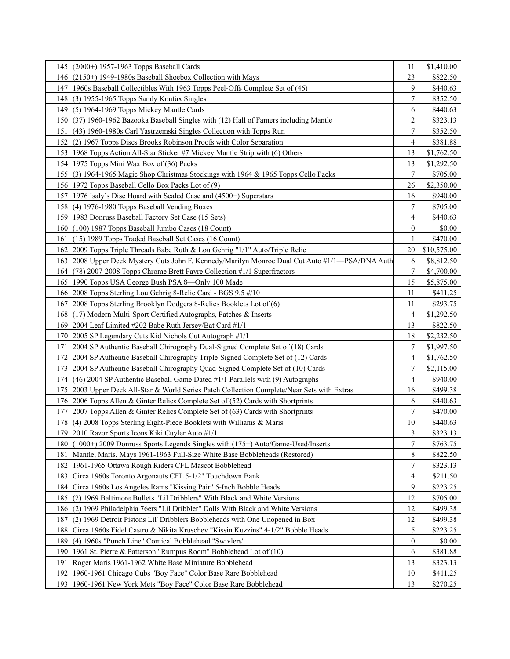|      | 145 (2000+) 1957-1963 Topps Baseball Cards                                                  | 11                      | \$1,410.00  |
|------|---------------------------------------------------------------------------------------------|-------------------------|-------------|
|      | 146 (2150+) 1949-1980s Baseball Shoebox Collection with Mays                                | 23                      | \$822.50    |
|      | 147 1960s Baseball Collectibles With 1963 Topps Peel-Offs Complete Set of (46)              | 9                       | \$440.63    |
| 1481 | (3) 1955-1965 Topps Sandy Koufax Singles                                                    | 7                       | \$352.50    |
|      | 149 (5) 1964-1969 Topps Mickey Mantle Cards                                                 | 6                       | \$440.63    |
|      | 150 (37) 1960-1962 Bazooka Baseball Singles with (12) Hall of Famers including Mantle       | 2                       | \$323.13    |
| 1511 | (43) 1960-1980s Carl Yastrzemski Singles Collection with Topps Run                          | 7                       | \$352.50    |
| 1521 | (2) 1967 Topps Discs Brooks Robinson Proofs with Color Separation                           | 4                       | \$381.88    |
|      | 153 1968 Topps Action All-Star Sticker #7 Mickey Mantle Strip with (6) Others               | 13                      | \$1,762.50  |
|      | 154 1975 Topps Mini Wax Box of (36) Packs                                                   | 13                      | \$1,292.50  |
|      | 155 (3) 1964-1965 Magic Shop Christmas Stockings with 1964 & 1965 Topps Cello Packs         | 7                       | \$705.00    |
|      | 156 1972 Topps Baseball Cello Box Packs Lot of (9)                                          | 26                      | \$2,350.00  |
|      | 157 1976 Isaly's Disc Hoard with Sealed Case and (4500+) Superstars                         | 16                      | \$940.00    |
| 1581 | (4) 1976-1980 Topps Baseball Vending Boxes                                                  | 7                       | \$705.00    |
|      | 159 1983 Donruss Baseball Factory Set Case (15 Sets)                                        | 4                       | \$440.63    |
|      | 160 (100) 1987 Topps Baseball Jumbo Cases (18 Count)                                        | $\boldsymbol{0}$        | \$0.00      |
|      | 161 (15) 1989 Topps Traded Baseball Set Cases (16 Count)                                    | 1                       | \$470.00    |
|      | 162 2009 Topps Triple Threads Babe Ruth & Lou Gehrig "1/1" Auto/Triple Relic                | 20                      | \$10,575.00 |
| 1631 | 2008 Upper Deck Mystery Cuts John F. Kennedy/Marilyn Monroe Dual Cut Auto #1/1—PSA/DNA Auth | 6                       | \$8,812.50  |
| 1641 | (78) 2007-2008 Topps Chrome Brett Favre Collection #1/1 Superfractors                       | 7                       | \$4,700.00  |
|      | 165 1990 Topps USA George Bush PSA 8-Only 100 Made                                          | 15                      | \$5,875.00  |
|      | 166 2008 Topps Sterling Lou Gehrig 8-Relic Card - BGS 9.5 #/10                              | 11                      | \$411.25    |
|      | 167 2008 Topps Sterling Brooklyn Dodgers 8-Relics Booklets Lot of (6)                       | 11                      | \$293.75    |
|      | 168 (17) Modern Multi-Sport Certified Autographs, Patches & Inserts                         | 4                       | \$1,292.50  |
|      | 169 2004 Leaf Limited #202 Babe Ruth Jersey/Bat Card #1/1                                   | 13                      | \$822.50    |
|      | 170 2005 SP Legendary Cuts Kid Nichols Cut Autograph #1/1                                   | 18                      | \$2,232.50  |
| 1711 | 2004 SP Authentic Baseball Chirography Dual-Signed Complete Set of (18) Cards               | 7                       | \$1,997.50  |
| 172I | 2004 SP Authentic Baseball Chirography Triple-Signed Complete Set of (12) Cards             | 4                       | \$1,762.50  |
| 1731 | 2004 SP Authentic Baseball Chirography Quad-Signed Complete Set of (10) Cards               | $\boldsymbol{7}$        | \$2,115.00  |
|      | 174 (46) 2004 SP Authentic Baseball Game Dated #1/1 Parallels with (9) Autographs           | 4                       | \$940.00    |
| 1751 | 2003 Upper Deck All-Star & World Series Patch Collection Complete/Near Sets with Extras     | 16                      | \$499.38    |
|      | 176 2006 Topps Allen & Ginter Relics Complete Set of (52) Cards with Shortprints            | 6                       | \$440.63    |
|      | 177 2007 Topps Allen & Ginter Relics Complete Set of (63) Cards with Shortprints            | 7                       | \$470.00    |
|      | 178 (4) 2008 Topps Sterling Eight-Piece Booklets with Williams & Maris                      | 10                      | \$440.63    |
|      | 179 2010 Razor Sports Icons Kiki Cuyler Auto #1/1                                           | $\overline{\mathbf{3}}$ | \$323.13    |
|      | 180 (1000+) 2009 Donruss Sports Legends Singles with (175+) Auto/Game-Used/Inserts          | 7                       | \$763.75    |
| 1811 | Mantle, Maris, Mays 1961-1963 Full-Size White Base Bobbleheads (Restored)                   | 8                       | \$822.50    |
|      | 182 1961-1965 Ottawa Rough Riders CFL Mascot Bobblehead                                     | 7                       | \$323.13    |
| 1831 | Circa 1960s Toronto Argonauts CFL 5-1/2" Touchdown Bank                                     | 4                       | \$211.50    |
| 184  | Circa 1960s Los Angeles Rams "Kissing Pair" 5-Inch Bobble Heads                             | 9                       | \$223.25    |
|      | 185 (2) 1969 Baltimore Bullets "Lil Dribblers" With Black and White Versions                | 12                      | \$705.00    |
|      | 186 (2) 1969 Philadelphia 76ers "Lil Dribbler" Dolls With Black and White Versions          | 12                      | \$499.38    |
| 187  | (2) 1969 Detroit Pistons Lil' Dribblers Bobbleheads with One Unopened in Box                | 12                      | \$499.38    |
| 188  | Circa 1960s Fidel Castro & Nikita Kruschev "Kissin Kuzzins" 4-1/2" Bobble Heads             | 5                       | \$223.25    |
| 189  | (4) 1960s "Punch Line" Comical Bobblehead "Swivlers"                                        | 0                       | \$0.00      |
|      | 190 1961 St. Pierre & Patterson "Rumpus Room" Bobblehead Lot of (10)                        | 6                       | \$381.88    |
| 1911 | Roger Maris 1961-1962 White Base Miniature Bobblehead                                       | 13                      | \$323.13    |
|      | 192 1960-1961 Chicago Cubs "Boy Face" Color Base Rare Bobblehead                            | 10                      | \$411.25    |
|      | 193   1960-1961 New York Mets "Boy Face" Color Base Rare Bobblehead                         | 13                      | \$270.25    |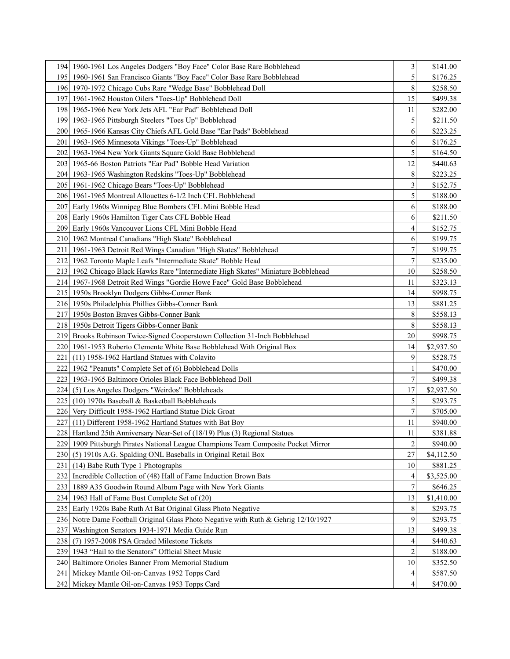|                  | 194   1960-1961 Los Angeles Dodgers "Boy Face" Color Base Rare Bobblehead           | 3              | \$141.00   |
|------------------|-------------------------------------------------------------------------------------|----------------|------------|
|                  | 195   1960-1961 San Francisco Giants "Boy Face" Color Base Rare Bobblehead          | 5              | \$176.25   |
|                  | 196 1970-1972 Chicago Cubs Rare "Wedge Base" Bobblehead Doll                        | 8              | \$258.50   |
| 197              | 1961-1962 Houston Oilers "Toes-Up" Bobblehead Doll                                  | 15             | \$499.38   |
|                  | 198 1965-1966 New York Jets AFL "Ear Pad" Bobblehead Doll                           | 11             | \$282.00   |
| 1991             | 1963-1965 Pittsburgh Steelers "Toes Up" Bobblehead                                  |                | \$211.50   |
| <b>2001</b>      | 1965-1966 Kansas City Chiefs AFL Gold Base "Ear Pads" Bobblehead                    | 6              | \$223.25   |
| 201              | 1963-1965 Minnesota Vikings "Toes-Up" Bobblehead                                    | 6              | \$176.25   |
| <b>202</b>       | 1963-1964 New York Giants Square Gold Base Bobblehead                               | 5              | \$164.50   |
|                  | 203   1965-66 Boston Patriots "Ear Pad" Bobble Head Variation                       | 12             | \$440.63   |
|                  | 204 1963-1965 Washington Redskins "Toes-Up" Bobblehead                              | 8              | \$223.25   |
|                  | 205 1961-1962 Chicago Bears "Toes-Up" Bobblehead                                    | 3              | \$152.75   |
|                  | 206 1961-1965 Montreal Allouettes 6-1/2 Inch CFL Bobblehead                         | 5              | \$188.00   |
|                  | 207 Early 1960s Winnipeg Blue Bombers CFL Mini Bobble Head                          | 6              | \$188.00   |
|                  | 208 Early 1960s Hamilton Tiger Cats CFL Bobble Head                                 | 6              | \$211.50   |
|                  | 209 Early 1960s Vancouver Lions CFL Mini Bobble Head                                | 4              | \$152.75   |
|                  | 210 1962 Montreal Canadians "High Skate" Bobblehead                                 | 6              | \$199.75   |
| 211              | 1961-1963 Detroit Red Wings Canadian "High Skates" Bobblehead                       | 7              | \$199.75   |
|                  | 212 1962 Toronto Maple Leafs "Intermediate Skate" Bobble Head                       |                | \$235.00   |
| 2131             | 1962 Chicago Black Hawks Rare "Intermediate High Skates" Miniature Bobblehead       | 10             | \$258.50   |
| 214I             | 1967-1968 Detroit Red Wings "Gordie Howe Face" Gold Base Bobblehead                 | 11             | \$323.13   |
|                  | 215 1950s Brooklyn Dodgers Gibbs-Conner Bank                                        | 14             | \$998.75   |
|                  | 216 1950s Philadelphia Phillies Gibbs-Conner Bank                                   | 13             | \$881.25   |
|                  | 217 1950s Boston Braves Gibbs-Conner Bank                                           | 8              | \$558.13   |
|                  | 218 1950s Detroit Tigers Gibbs-Conner Bank                                          | 8              | \$558.13   |
|                  | 219 Brooks Robinson Twice-Signed Cooperstown Collection 31-Inch Bobblehead          | 20             | \$998.75   |
| <b>220</b>       | 1961-1953 Roberto Clemente White Base Bobblehead With Original Box                  | 14             | \$2,937.50 |
| 221              | (11) 1958-1962 Hartland Statues with Colavito                                       | 9              | \$528.75   |
| 222              | 1962 "Peanuts" Complete Set of (6) Bobblehead Dolls                                 |                | \$470.00   |
|                  | 223 1963-1965 Baltimore Orioles Black Face Bobblehead Doll                          |                | \$499.38   |
|                  | 224 (5) Los Angeles Dodgers "Weirdos" Bobbleheads                                   | 17             | \$2,937.50 |
| 225              | (10) 1970s Baseball & Basketball Bobbleheads                                        |                | \$293.75   |
| 226 <sub>1</sub> | Very Difficult 1958-1962 Hartland Statue Dick Groat                                 |                | \$705.00   |
| 2271             | (11) Different 1958-1962 Hartland Statues with Bat Boy                              | 11             | \$940.00   |
|                  | 228 Hartland 25th Anniversary Near-Set of (18/19) Plus (3) Regional Statues         | 11             | \$381.88   |
| 2291             | 1909 Pittsburgh Pirates National League Champions Team Composite Pocket Mirror      | $\overline{2}$ | \$940.00   |
|                  | 230 (5) 1910s A.G. Spalding ONL Baseballs in Original Retail Box                    | 27             | \$4,112.50 |
|                  | 231 (14) Babe Ruth Type 1 Photographs                                               | 10             | \$881.25   |
| 232 I            | Incredible Collection of (48) Hall of Fame Induction Brown Bats                     | 4              | \$3,525.00 |
| 233              | 1889 A35 Goodwin Round Album Page with New York Giants                              |                | \$646.25   |
| 234              | 1963 Hall of Fame Bust Complete Set of (20)                                         | 13             | \$1,410.00 |
|                  | 235 Early 1920s Babe Ruth At Bat Original Glass Photo Negative                      | 8              | \$293.75   |
|                  | 236 Notre Dame Football Original Glass Photo Negative with Ruth & Gehrig 12/10/1927 | 9              | \$293.75   |
| 237              | Washington Senators 1934-1971 Media Guide Run                                       | 13             | \$499.38   |
| 238              | (7) 1957-2008 PSA Graded Milestone Tickets                                          | 4              | \$440.63   |
| 239              | 1943 "Hail to the Senators" Official Sheet Music                                    | 2              | \$188.00   |
|                  | 240 Baltimore Orioles Banner From Memorial Stadium                                  | 10             | \$352.50   |
| 241              | Mickey Mantle Oil-on-Canvas 1952 Topps Card                                         | 4              | \$587.50   |
|                  | 242 Mickey Mantle Oil-on-Canvas 1953 Topps Card                                     | 4              | \$470.00   |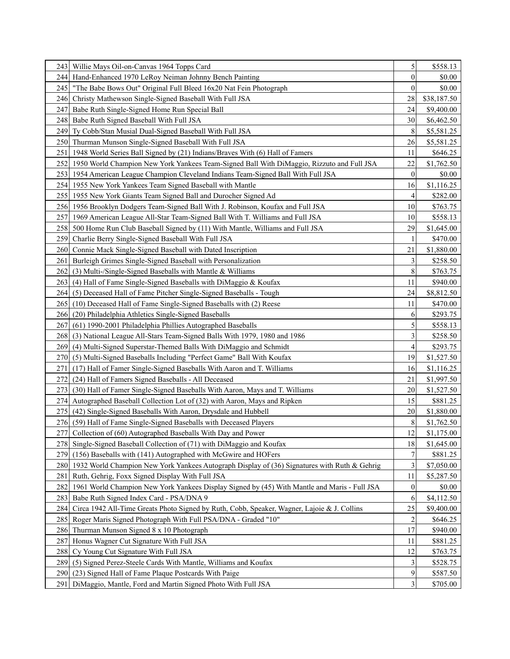|                  | 243   Willie Mays Oil-on-Canvas 1964 Topps Card                                                  | 5                | \$558.13    |
|------------------|--------------------------------------------------------------------------------------------------|------------------|-------------|
| 244              | Hand-Enhanced 1970 LeRoy Neiman Johnny Bench Painting                                            | $\boldsymbol{0}$ | \$0.00      |
| 245              | "The Babe Bows Out" Original Full Bleed 16x20 Nat Fein Photograph                                | $\theta$         | \$0.00      |
| 246 <sub>l</sub> | Christy Mathewson Single-Signed Baseball With Full JSA                                           | 28               | \$38,187.50 |
| 247              | Babe Ruth Single-Signed Home Run Special Ball                                                    | 24               | \$9,400.00  |
| 248              | Babe Ruth Signed Baseball With Full JSA                                                          | 30               | \$6,462.50  |
| 2491             | Ty Cobb/Stan Musial Dual-Signed Baseball With Full JSA                                           | 8                | \$5,581.25  |
|                  | 250 Thurman Munson Single-Signed Baseball With Full JSA                                          | 26               | \$5,581.25  |
| 251              | 1948 World Series Ball Signed by (21) Indians/Braves With (6) Hall of Famers                     | 11               | \$646.25    |
| 252              | 1950 World Champion New York Yankees Team-Signed Ball With DiMaggio, Rizzuto and Full JSA        | 22               | \$1,762.50  |
|                  | 253 1954 American League Champion Cleveland Indians Team-Signed Ball With Full JSA               | $\theta$         | \$0.00      |
|                  | 254 1955 New York Yankees Team Signed Baseball with Mantle                                       | 16               | \$1,116.25  |
|                  | 255 1955 New York Giants Team Signed Ball and Durocher Signed Ad                                 | 4                | \$282.00    |
|                  | 256 1956 Brooklyn Dodgers Team-Signed Ball With J. Robinson, Koufax and Full JSA                 | 10               | \$763.75    |
| 257              | 1969 American League All-Star Team-Signed Ball With T. Williams and Full JSA                     | 10               | \$558.13    |
|                  | 258 500 Home Run Club Baseball Signed by (11) With Mantle, Williams and Full JSA                 | 29               | \$1,645.00  |
| 259              | Charlie Berry Single-Signed Baseball With Full JSA                                               |                  | \$470.00    |
| 260 <sub>1</sub> | Connie Mack Single-Signed Baseball with Dated Inscription                                        | 21               | \$1,880.00  |
| 261              | Burleigh Grimes Single-Signed Baseball with Personalization                                      | 3                | \$258.50    |
| 262              | $(3)$ Multi-/Single-Signed Baseballs with Mantle & Williams                                      | 8                | \$763.75    |
| 263              | (4) Hall of Fame Single-Signed Baseballs with DiMaggio & Koufax                                  | 11               | \$940.00    |
| 264              | (5) Deceased Hall of Fame Pitcher Single-Signed Baseballs - Tough                                | 24               | \$8,812.50  |
| 265 <sub>1</sub> | (10) Deceased Hall of Fame Single-Signed Baseballs with (2) Reese                                | 11               | \$470.00    |
| 2661             | (20) Philadelphia Athletics Single-Signed Baseballs                                              | 6                | \$293.75    |
| 267              | (61) 1990-2001 Philadelphia Phillies Autographed Baseballs                                       | 5                | \$558.13    |
| 268              | (3) National League All-Stars Team-Signed Balls With 1979, 1980 and 1986                         | 3                | \$258.50    |
| 2691             | (4) Multi-Signed Superstar-Themed Balls With DiMaggio and Schmidt                                | 4                | \$293.75    |
| 270I             | (5) Multi-Signed Baseballs Including "Perfect Game" Ball With Koufax                             | 19               | \$1,527.50  |
| 271 I            | (17) Hall of Famer Single-Signed Baseballs With Aaron and T. Williams                            | 16               | \$1,116.25  |
| 272I             | (24) Hall of Famers Signed Baseballs - All Deceased                                              | 21               | \$1,997.50  |
| 2731             | (30) Hall of Famer Single-Signed Baseballs With Aaron, Mays and T. Williams                      | 20               | \$1,527.50  |
|                  | 274 Autographed Baseball Collection Lot of (32) with Aaron, Mays and Ripken                      | 15               | \$881.25    |
| 2751             | (42) Single-Signed Baseballs With Aaron, Drysdale and Hubbell                                    | 20               | \$1,880.00  |
|                  | 276 (59) Hall of Fame Single-Signed Baseballs with Deceased Players                              | $\,$ 8 $\,$      | \$1,762.50  |
|                  | 277 Collection of (60) Autographed Baseballs With Day and Power                                  | $12\,$           | \$1,175.00  |
|                  | 278 Single-Signed Baseball Collection of (71) with DiMaggio and Koufax                           | 18               | \$1,645.00  |
|                  | 279 (156) Baseballs with (141) Autographed with McGwire and HOFers                               |                  | \$881.25    |
|                  | 280 1932 World Champion New York Yankees Autograph Display of (36) Signatures with Ruth & Gehrig | 3                | \$7,050.00  |
| 281              | Ruth, Gehrig, Foxx Signed Display With Full JSA                                                  | 11               | \$5,287.50  |
| 282              | 1961 World Champion New York Yankees Display Signed by (45) With Mantle and Maris - Full JSA     | $\boldsymbol{0}$ | \$0.00      |
| 283              | Babe Ruth Signed Index Card - PSA/DNA 9                                                          | 6                | \$4,112.50  |
| 284 I            | Circa 1942 All-Time Greats Photo Signed by Ruth, Cobb, Speaker, Wagner, Lajoie & J. Collins      | 25               | \$9,400.00  |
| 285              | Roger Maris Signed Photograph With Full PSA/DNA - Graded "10"                                    | 2                | \$646.25    |
| 286              | Thurman Munson Signed 8 x 10 Photograph                                                          | 17               | \$940.00    |
| 287              | Honus Wagner Cut Signature With Full JSA                                                         | 11               | \$881.25    |
| 288              | Cy Young Cut Signature With Full JSA                                                             | 12               | \$763.75    |
| 289              | (5) Signed Perez-Steele Cards With Mantle, Williams and Koufax                                   | 3                | \$528.75    |
| <b>290</b>       | (23) Signed Hall of Fame Plaque Postcards With Paige                                             | 9                | \$587.50    |
| 291              | DiMaggio, Mantle, Ford and Martin Signed Photo With Full JSA                                     | $\mathfrak{Z}$   | \$705.00    |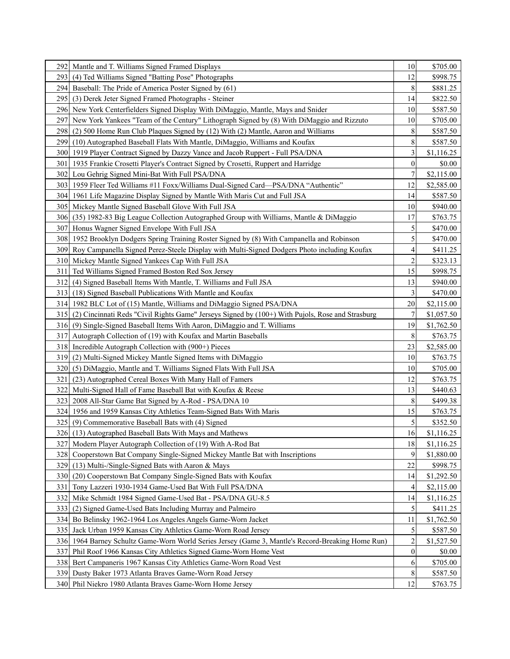| 292 I            | Mantle and T. Williams Signed Framed Displays                                                        | 10               | \$705.00   |
|------------------|------------------------------------------------------------------------------------------------------|------------------|------------|
| 2931             | (4) Ted Williams Signed "Batting Pose" Photographs                                                   | 12               | \$998.75   |
| 294 l            | Baseball: The Pride of America Poster Signed by (61)                                                 | 8                | \$881.25   |
|                  | 295 (3) Derek Jeter Signed Framed Photographs - Steiner                                              | 14               | \$822.50   |
|                  | 296 New York Centerfielders Signed Display With DiMaggio, Mantle, Mays and Snider                    | 10               | \$587.50   |
| 297              | New York Yankees "Team of the Century" Lithograph Signed by (8) With DiMaggio and Rizzuto            | 10               | \$705.00   |
| 2981             | (2) 500 Home Run Club Plaques Signed by (12) With (2) Mantle, Aaron and Williams                     | 8                | \$587.50   |
| 2991             | (10) Autographed Baseball Flats With Mantle, DiMaggio, Williams and Koufax                           | 8                | \$587.50   |
|                  | 300 1919 Player Contract Signed by Dazzy Vance and Jacob Ruppert - Full PSA/DNA                      | 3                | \$1,116.25 |
| 301              | 1935 Frankie Crosetti Player's Contract Signed by Crosetti, Ruppert and Harridge                     | $\boldsymbol{0}$ | \$0.00     |
|                  | 302 Lou Gehrig Signed Mini-Bat With Full PSA/DNA                                                     | 7                | \$2,115.00 |
|                  | 303 1959 Fleer Ted Williams #11 Foxx/Williams Dual-Signed Card—PSA/DNA "Authentic"                   | 12               | \$2,585.00 |
| 304I             | 1961 Life Magazine Display Signed by Mantle With Maris Cut and Full JSA                              | 14               | \$587.50   |
| 305 I            | Mickey Mantle Signed Baseball Glove With Full JSA                                                    | 10               | \$940.00   |
| 306 <sub>1</sub> | (35) 1982-83 Big League Collection Autographed Group with Williams, Mantle & DiMaggio                | 17               | \$763.75   |
|                  | 307 Honus Wagner Signed Envelope With Full JSA                                                       | 5                | \$470.00   |
|                  | 308 1952 Brooklyn Dodgers Spring Training Roster Signed by (8) With Campanella and Robinson          | 5                | \$470.00   |
|                  | 309 Roy Campanella Signed Perez-Steele Display with Multi-Signed Dodgers Photo including Koufax      | 4                | \$411.25   |
|                  | 310 Mickey Mantle Signed Yankees Cap With Full JSA                                                   | 2                | \$323.13   |
| 311              | Ted Williams Signed Framed Boston Red Sox Jersey                                                     | 15               | \$998.75   |
| 312              | (4) Signed Baseball Items With Mantle, T. Williams and Full JSA                                      | 13               | \$940.00   |
|                  | 313 (18) Signed Baseball Publications With Mantle and Koufax                                         | 3                | \$470.00   |
|                  | 314 1982 BLC Lot of (15) Mantle, Williams and DiMaggio Signed PSA/DNA                                | 20               | \$2,115.00 |
|                  | 315 (2) Cincinnati Reds "Civil Rights Game" Jerseys Signed by (100+) With Pujols, Rose and Strasburg | 7                | \$1,057.50 |
|                  | 316 (9) Single-Signed Baseball Items With Aaron, DiMaggio and T. Williams                            | 19               | \$1,762.50 |
|                  | 317 Autograph Collection of (19) with Koufax and Martin Baseballs                                    | 8                | \$763.75   |
|                  | 318 Incredible Autograph Collection with (900+) Pieces                                               | 23               | \$2,585.00 |
|                  | 319 (2) Multi-Signed Mickey Mantle Signed Items with DiMaggio                                        | 10               | \$763.75   |
|                  | 320 (5) DiMaggio, Mantle and T. Williams Signed Flats With Full JSA                                  | 10               | \$705.00   |
| 321              | (23) Autographed Cereal Boxes With Many Hall of Famers                                               | 12               | \$763.75   |
| 322              | Multi-Signed Hall of Fame Baseball Bat with Koufax & Reese                                           | 13               | \$440.63   |
| 3231             | 2008 All-Star Game Bat Signed by A-Rod - PSA/DNA 10                                                  | 8                | \$499.38   |
| 324 I            | 1956 and 1959 Kansas City Athletics Team-Signed Bats With Maris                                      | 15               | \$763.75   |
|                  | 325 (9) Commemorative Baseball Bats with (4) Signed                                                  | 5                | \$352.50   |
|                  | 326 (13) Autographed Baseball Bats With Mays and Mathews                                             | 16               | \$1,116.25 |
| 3271             | Modern Player Autograph Collection of (19) With A-Rod Bat                                            | 18               | \$1,116.25 |
| 328              | Cooperstown Bat Company Single-Signed Mickey Mantle Bat with Inscriptions                            | 9                | \$1,880.00 |
| 329              | (13) Multi-/Single-Signed Bats with Aaron & Mays                                                     | 22               | \$998.75   |
| 330I             | (20) Cooperstown Bat Company Single-Signed Bats with Koufax                                          | 14               | \$1,292.50 |
| 331              | Tony Lazzeri 1930-1934 Game-Used Bat With Full PSA/DNA                                               | 4                | \$2,115.00 |
| 332              | Mike Schmidt 1984 Signed Game-Used Bat - PSA/DNA GU-8.5                                              | 14               | \$1,116.25 |
| 3331             | (2) Signed Game-Used Bats Including Murray and Palmeiro                                              | 5                | \$411.25   |
| 334              | Bo Belinsky 1962-1964 Los Angeles Angels Game-Worn Jacket                                            | 11               | \$1,762.50 |
| 335              | Jack Urban 1959 Kansas City Athletics Game-Worn Road Jersey                                          | 5                | \$587.50   |
|                  | 336 1964 Barney Schultz Game-Worn World Series Jersey (Game 3, Mantle's Record-Breaking Home Run)    | 2                | \$1,527.50 |
| 337              | Phil Roof 1966 Kansas City Athletics Signed Game-Worn Home Vest                                      | $\mathbf{0}$     | \$0.00     |
| 338              | Bert Campaneris 1967 Kansas City Athletics Game-Worn Road Vest                                       | 6                | \$705.00   |
| 3391             | Dusty Baker 1973 Atlanta Braves Game-Worn Road Jersey                                                | 8                | \$587.50   |
|                  | 340 Phil Niekro 1980 Atlanta Braves Game-Worn Home Jersey                                            | 12               | \$763.75   |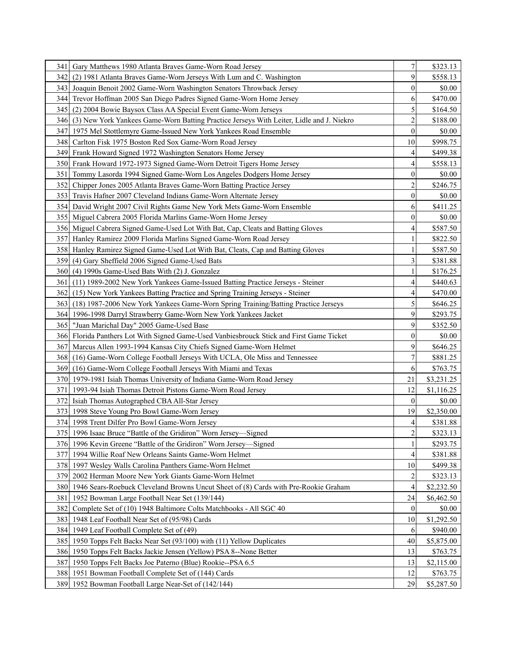| 341 I            | Gary Matthews 1980 Atlanta Braves Game-Worn Road Jersey                                      | 7                       | \$323.13   |
|------------------|----------------------------------------------------------------------------------------------|-------------------------|------------|
| 342 I            | (2) 1981 Atlanta Braves Game-Worn Jerseys With Lum and C. Washington                         | 9                       | \$558.13   |
|                  | 343 Joaquin Benoit 2002 Game-Worn Washington Senators Throwback Jersey                       | $\mathbf{0}$            | \$0.00     |
|                  | 344 Trevor Hoffman 2005 San Diego Padres Signed Game-Worn Home Jersey                        | 6                       | \$470.00   |
|                  | 345 (2) 2004 Bowie Baysox Class AA Special Event Game-Worn Jerseys                           | 5                       | \$164.50   |
|                  | 346 (3) New York Yankees Game-Worn Batting Practice Jerseys With Leiter, Lidle and J. Niekro | $\overline{c}$          | \$188.00   |
|                  | 347 1975 Mel Stottlemyre Game-Issued New York Yankees Road Ensemble                          | $\boldsymbol{0}$        | \$0.00     |
| 3481             | Carlton Fisk 1975 Boston Red Sox Game-Worn Road Jersey                                       | 10                      | \$998.75   |
|                  | 349 Frank Howard Signed 1972 Washington Senators Home Jersey                                 | 4                       | \$499.38   |
|                  | 350 Frank Howard 1972-1973 Signed Game-Worn Detroit Tigers Home Jersey                       | 4                       | \$558.13   |
|                  | 351 Tommy Lasorda 1994 Signed Game-Worn Los Angeles Dodgers Home Jersey                      | 0                       | \$0.00     |
| 352              | Chipper Jones 2005 Atlanta Braves Game-Worn Batting Practice Jersey                          | $\overline{c}$          | \$246.75   |
| 3531             | Travis Hafner 2007 Cleveland Indians Game-Worn Alternate Jersey                              | $\boldsymbol{0}$        | \$0.00     |
| 354 I            | David Wright 2007 Civil Rights Game New York Mets Game-Worn Ensemble                         | 6                       | \$411.25   |
|                  | 355   Miguel Cabrera 2005 Florida Marlins Game-Worn Home Jersey                              | $\boldsymbol{0}$        | \$0.00     |
|                  | 356 Miguel Cabrera Signed Game-Used Lot With Bat, Cap, Cleats and Batting Gloves             | 4                       | \$587.50   |
|                  | 357 Hanley Ramirez 2009 Florida Marlins Signed Game-Worn Road Jersey                         |                         | \$822.50   |
|                  | 358 Hanley Ramirez Signed Game-Used Lot With Bat, Cleats, Cap and Batting Gloves             |                         | \$587.50   |
|                  | 359 (4) Gary Sheffield 2006 Signed Game-Used Bats                                            | 3                       | \$381.88   |
|                  | 360 (4) 1990s Game-Used Bats With (2) J. Gonzalez                                            |                         | \$176.25   |
| 361              | (11) 1989-2002 New York Yankees Game-Issued Batting Practice Jerseys - Steiner               | 4                       | \$440.63   |
| 362              | (15) New York Yankees Batting Practice and Spring Training Jerseys - Steiner                 | 4                       | \$470.00   |
|                  | 363 (18) 1987-2006 New York Yankees Game-Worn Spring Training/Batting Practice Jerseys       | 5                       | \$646.25   |
|                  | 364 1996-1998 Darryl Strawberry Game-Worn New York Yankees Jacket                            | 9                       | \$293.75   |
| 365              | "Juan Marichal Day" 2005 Game-Used Base                                                      | 9                       | \$352.50   |
|                  | 366 Florida Panthers Lot With Signed Game-Used Vanbiesbrouck Stick and First Game Ticket     | $\boldsymbol{0}$        | \$0.00     |
| 367              | Marcus Allen 1993-1994 Kansas City Chiefs Signed Game-Worn Helmet                            | 9                       | \$646.25   |
|                  | 368 (16) Game-Worn College Football Jerseys With UCLA, Ole Miss and Tennessee                | 7                       | \$881.25   |
|                  | 369 (16) Game-Worn College Football Jerseys With Miami and Texas                             | 6                       | \$763.75   |
|                  | 370 1979-1981 Isiah Thomas University of Indiana Game-Worn Road Jersey                       | 21                      | \$3,231.25 |
| 371              | 1993-94 Isiah Thomas Detroit Pistons Game-Worn Road Jersey                                   | 12                      | \$1,116.25 |
| 3721             | Isiah Thomas Autographed CBA All-Star Jersey                                                 | $\theta$                | \$0.00     |
| 3731             | 1998 Steve Young Pro Bowl Game-Worn Jersey                                                   | 19                      | \$2,350.00 |
|                  | 374 1998 Trent Dilfer Pro Bowl Game-Worn Jersey                                              | 4                       | \$381.88   |
|                  | 375   1996 Isaac Bruce "Battle of the Gridiron" Worn Jersey-Signed                           | $\overline{\mathbf{c}}$ | \$323.13   |
|                  | 376 1996 Kevin Greene "Battle of the Gridiron" Worn Jersey—Signed                            |                         | \$293.75   |
| 377I             | 1994 Willie Roaf New Orleans Saints Game-Worn Helmet                                         |                         | \$381.88   |
|                  | 378 1997 Wesley Walls Carolina Panthers Game-Worn Helmet                                     | 10                      | \$499.38   |
| 379              | 2002 Herman Moore New York Giants Game-Worn Helmet                                           | 2                       | \$323.13   |
|                  | 380 1946 Sears-Roebuck Cleveland Browns Uncut Sheet of (8) Cards with Pre-Rookie Graham      | 4                       | \$2,232.50 |
|                  | 381 1952 Bowman Large Football Near Set (139/144)                                            | 24                      | \$6,462.50 |
| 382              | Complete Set of (10) 1948 Baltimore Colts Matchbooks - All SGC 40                            | $\overline{0}$          | \$0.00     |
| 383              | 1948 Leaf Football Near Set of (95/98) Cards                                                 | 10                      | \$1,292.50 |
| 384              | 1949 Leaf Football Complete Set of (49)                                                      | 6                       | \$940.00   |
| 385 I            | 1950 Topps Felt Backs Near Set (93/100) with (11) Yellow Duplicates                          | 40                      | \$5,875.00 |
| 386 <sub>1</sub> | 1950 Topps Felt Backs Jackie Jensen (Yellow) PSA 8--None Better                              | 13                      | \$763.75   |
| 387              | 1950 Topps Felt Backs Joe Paterno (Blue) Rookie--PSA 6.5                                     | 13                      | \$2,115.00 |
|                  | 388 1951 Bowman Football Complete Set of (144) Cards                                         | 12                      | \$763.75   |
|                  | 389 1952 Bowman Football Large Near-Set of (142/144)                                         | 29                      | \$5,287.50 |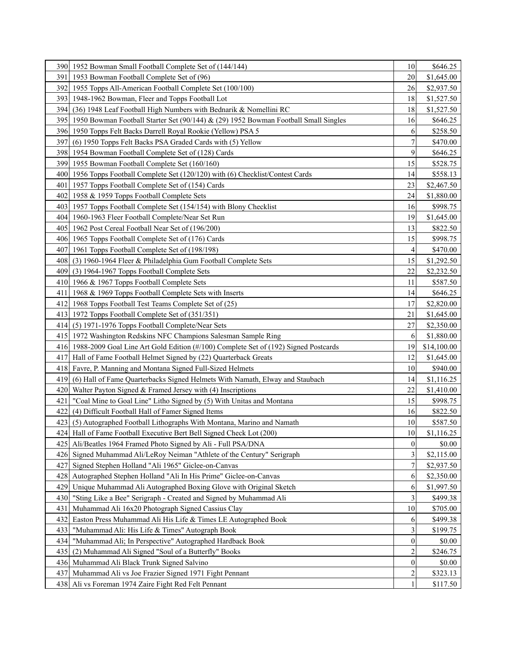| 390 <sub>l</sub> | 1952 Bowman Small Football Complete Set of (144/144)                                                              | 10               | \$646.25             |
|------------------|-------------------------------------------------------------------------------------------------------------------|------------------|----------------------|
| 391              | 1953 Bowman Football Complete Set of (96)                                                                         | 20               | \$1,645.00           |
| 392              | 1955 Topps All-American Football Complete Set (100/100)                                                           | 26               | \$2,937.50           |
| 393              | 1948-1962 Bowman, Fleer and Topps Football Lot                                                                    | 18               | \$1,527.50           |
| 394I             | (36) 1948 Leaf Football High Numbers with Bednarik & Nomellini RC                                                 | 18               | \$1,527.50           |
| 395 I            | 1950 Bowman Football Starter Set (90/144) & (29) 1952 Bowman Football Small Singles                               | 16               | \$646.25             |
| 396 <sub>l</sub> | 1950 Topps Felt Backs Darrell Royal Rookie (Yellow) PSA 5                                                         | 6                | \$258.50             |
| 397              | (6) 1950 Topps Felt Backs PSA Graded Cards with (5) Yellow                                                        |                  | \$470.00             |
| 398              | 1954 Bowman Football Complete Set of (128) Cards                                                                  | 9                | \$646.25             |
| 399              | 1955 Bowman Football Complete Set (160/160)                                                                       | 15               | \$528.75             |
|                  | 400 1956 Topps Football Complete Set (120/120) with (6) Checklist/Contest Cards                                   | 14               | \$558.13             |
| 401              | 1957 Topps Football Complete Set of (154) Cards                                                                   | 23               | \$2,467.50           |
| 402              | 1958 & 1959 Topps Football Complete Sets                                                                          | 24               | \$1,880.00           |
| 403              | 1957 Topps Football Complete Set (154/154) with Blony Checklist                                                   | 16               | \$998.75             |
| 4041             | 1960-1963 Fleer Football Complete/Near Set Run                                                                    | 19               | \$1,645.00           |
| 4051             | 1962 Post Cereal Football Near Set of (196/200)                                                                   | 13               | \$822.50             |
|                  | 406 1965 Topps Football Complete Set of (176) Cards                                                               | 15               | \$998.75             |
| 407              | 1961 Topps Football Complete Set of (198/198)                                                                     | 4                | \$470.00             |
| 408              | (3) 1960-1964 Fleer & Philadelphia Gum Football Complete Sets                                                     | 15               | \$1,292.50           |
| 409              | (3) 1964-1967 Topps Football Complete Sets                                                                        | 22               | \$2,232.50           |
| 4101             | 1966 & 1967 Topps Football Complete Sets                                                                          | 11               | \$587.50             |
| 411              | 1968 & 1969 Topps Football Complete Sets with Inserts                                                             | 14               | \$646.25             |
| 412              | 1968 Topps Football Test Teams Complete Set of (25)                                                               | 17               | \$2,820.00           |
|                  | 413 1972 Topps Football Complete Set of (351/351)                                                                 | 21               | \$1,645.00           |
| 4141             | (5) 1971-1976 Topps Football Complete/Near Sets                                                                   | 27               | \$2,350.00           |
| 4151             | 1972 Washington Redskins NFC Champions Salesman Sample Ring                                                       | 6                | \$1,880.00           |
|                  | 416 1988-2009 Goal Line Art Gold Edition (#/100) Complete Set of (192) Signed Postcards                           | 19               | \$14,100.00          |
| 417              | Hall of Fame Football Helmet Signed by (22) Quarterback Greats                                                    | 12               | \$1,645.00           |
|                  | 418 Favre, P. Manning and Montana Signed Full-Sized Helmets                                                       | 10               | \$940.00             |
|                  | 419 (6) Hall of Fame Quarterbacks Signed Helmets With Namath, Elway and Staubach                                  | 14               | \$1,116.25           |
| 420              | Walter Payton Signed & Framed Jersey with $(4)$ Inscriptions                                                      | 22               | \$1,410.00           |
| 421              | "Coal Mine to Goal Line" Litho Signed by (5) With Unitas and Montana                                              | 15               | \$998.75             |
| 422              | (4) Difficult Football Hall of Famer Signed Items                                                                 | 16               | \$822.50             |
| 423              | (5) Autographed Football Lithographs With Montana, Marino and Namath                                              | 10               | \$587.50             |
| 424              | Hall of Fame Football Executive Bert Bell Signed Check Lot (200)                                                  | $10\,$           | \$1,116.25           |
|                  | 425 Ali/Beatles 1964 Framed Photo Signed by Ali - Full PSA/DNA                                                    | $\overline{0}$   | \$0.00               |
|                  |                                                                                                                   |                  | \$2,115.00           |
| 427              | 426 Signed Muhammad Ali/LeRoy Neiman "Athlete of the Century" Serigraph                                           | 3                |                      |
|                  | Signed Stephen Holland "Ali 1965" Giclee-on-Canvas                                                                |                  | \$2,937.50           |
|                  | 428 Autographed Stephen Holland "Ali In His Prime" Giclee-on-Canvas                                               | 6                | \$2,350.00           |
| 429              | Unique Muhammad Ali Autographed Boxing Glove with Original Sketch                                                 | 6                | \$1,997.50           |
| 430              | "Sting Like a Bee" Serigraph - Created and Signed by Muhammad Ali                                                 | 3                | \$499.38             |
| 431              | Muhammad Ali 16x20 Photograph Signed Cassius Clay                                                                 | 10               | \$705.00             |
| 432              | Easton Press Muhammad Ali His Life & Times LE Autographed Book                                                    | 6                | \$499.38             |
| 433              | "Muhammad Ali: His Life & Times" Autograph Book                                                                   | 3                | \$199.75             |
| 434              | "Muhammad Ali; In Perspective" Autographed Hardback Book                                                          | $\boldsymbol{0}$ | \$0.00               |
| 435              | (2) Muhammad Ali Signed "Soul of a Butterfly" Books                                                               | 2                | \$246.75             |
|                  | 436 Muhammad Ali Black Trunk Signed Salvino                                                                       | $\mathbf{0}$     | \$0.00               |
|                  | 437 Muhammad Ali vs Joe Frazier Signed 1971 Fight Pennant<br>438 Ali vs Foreman 1974 Zaire Fight Red Felt Pennant | 2<br>1           | \$323.13<br>\$117.50 |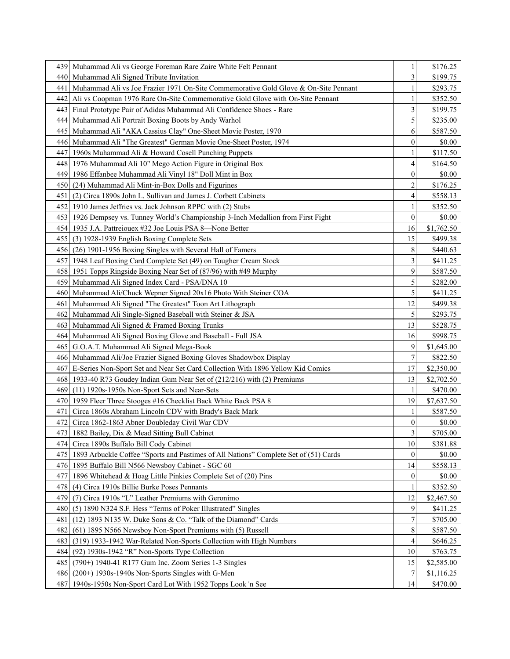| 4391  | Muhammad Ali vs George Foreman Rare Zaire White Felt Pennant                             |                         | \$176.25   |
|-------|------------------------------------------------------------------------------------------|-------------------------|------------|
| 4401  | Muhammad Ali Signed Tribute Invitation                                                   | 3                       | \$199.75   |
| 441   | Muhammad Ali vs Joe Frazier 1971 On-Site Commemorative Gold Glove & On-Site Pennant      |                         | \$293.75   |
| 4421  | Ali vs Coopman 1976 Rare On-Site Commemorative Gold Glove with On-Site Pennant           |                         | \$352.50   |
|       | 443 Final Prototype Pair of Adidas Muhammad Ali Confidence Shoes - Rare                  | 3                       | \$199.75   |
| 444   | Muhammad Ali Portrait Boxing Boots by Andy Warhol                                        | 5                       | \$235.00   |
| 445   | Muhammad Ali "AKA Cassius Clay" One-Sheet Movie Poster, 1970                             | 6                       | \$587.50   |
| 446   | Muhammad Ali "The Greatest" German Movie One-Sheet Poster, 1974                          | 0                       | \$0.00     |
| 447   | 1960s Muhammad Ali & Howard Cosell Punching Puppets                                      |                         | \$117.50   |
|       | 448 1976 Muhammad Ali 10" Mego Action Figure in Original Box                             | 4                       | \$164.50   |
| 4491  | 1986 Effanbee Muhammad Ali Vinyl 18" Doll Mint in Box                                    | 0                       | \$0.00     |
| 4501  | (24) Muhammad Ali Mint-in-Box Dolls and Figurines                                        | 2                       | \$176.25   |
| 451   | (2) Circa 1890s John L. Sullivan and James J. Corbett Cabinets                           | 4                       | \$558.13   |
| 452 l | 1910 James Jeffries vs. Jack Johnson RPPC with (2) Stubs                                 |                         | \$352.50   |
|       | 453 1926 Dempsey vs. Tunney World's Championship 3-Inch Medallion from First Fight       | $\boldsymbol{0}$        | \$0.00     |
|       | 454 1935 J.A. Pattreiouex #32 Joe Louis PSA 8—None Better                                | 16                      | \$1,762.50 |
| 4551  | (3) 1928-1939 English Boxing Complete Sets                                               | 15                      | \$499.38   |
|       | 456 (26) 1901-1956 Boxing Singles with Several Hall of Famers                            | 8                       | \$440.63   |
| 4571  | 1948 Leaf Boxing Card Complete Set (49) on Tougher Cream Stock                           | 3                       | \$411.25   |
|       | 458 1951 Topps Ringside Boxing Near Set of (87/96) with #49 Murphy                       | 9                       | \$587.50   |
| 459   | Muhammad Ali Signed Index Card - PSA/DNA 10                                              | 5                       | \$282.00   |
|       | 460 Muhammad Ali/Chuck Wepner Signed 20x16 Photo With Steiner COA                        | 5                       | \$411.25   |
| 461   | Muhammad Ali Signed "The Greatest" Toon Art Lithograph                                   | 12                      | \$499.38   |
| 462   | Muhammad Ali Single-Signed Baseball with Steiner & JSA                                   | 5                       | \$293.75   |
| 4631  | Muhammad Ali Signed & Framed Boxing Trunks                                               | 13                      | \$528.75   |
| 4641  | Muhammad Ali Signed Boxing Glove and Baseball - Full JSA                                 | 16                      | \$998.75   |
| 4651  | G.O.A.T. Muhammad Ali Signed Mega-Book                                                   | 9                       | \$1,645.00 |
|       | 466 Muhammad Ali/Joe Frazier Signed Boxing Gloves Shadowbox Display                      | 7                       | \$822.50   |
| 467   | E-Series Non-Sport Set and Near Set Card Collection With 1896 Yellow Kid Comics          | 17                      | \$2,350.00 |
|       | 468 1933-40 R73 Goudey Indian Gum Near Set of (212/216) with (2) Premiums                | 13                      | \$2,702.50 |
| 4691  | $(11)$ 1920s-1950s Non-Sport Sets and Near-Sets                                          |                         | \$470.00   |
|       | 470 1959 Fleer Three Stooges #16 Checklist Back White Back PSA 8                         | 19                      | \$7,637.50 |
| 471   | Circa 1860s Abraham Lincoln CDV with Brady's Back Mark                                   |                         | \$587.50   |
| 472   | Circa 1862-1863 Abner Doubleday Civil War CDV                                            | 0                       | \$0.00     |
|       | 473 1882 Bailey, Dix & Mead Sitting Bull Cabinet                                         | $\overline{\mathbf{3}}$ | \$705.00   |
| 474 I | Circa 1890s Buffalo Bill Cody Cabinet                                                    | 10                      | \$381.88   |
|       | 475 1893 Arbuckle Coffee "Sports and Pastimes of All Nations" Complete Set of (51) Cards | $\bf{0}$                | \$0.00     |
|       | 476 1895 Buffalo Bill N566 Newsboy Cabinet - SGC 60                                      | 14                      | \$558.13   |
| 477   | 1896 Whitehead & Hoag Little Pinkies Complete Set of (20) Pins                           | $\boldsymbol{0}$        | \$0.00     |
|       | 478 (4) Circa 1910s Billie Burke Poses Pennants                                          |                         | \$352.50   |
|       | 479 (7) Circa 1910s "L" Leather Premiums with Geronimo                                   | 12                      | \$2,467.50 |
| 4801  | (5) 1890 N324 S.F. Hess "Terms of Poker Illustrated" Singles                             | 9                       | \$411.25   |
| 481   | (12) 1893 N135 W. Duke Sons & Co. "Talk of the Diamond" Cards                            | 7                       | \$705.00   |
| 482   | (61) 1895 N566 Newsboy Non-Sport Premiums with (5) Russell                               | 8                       | \$587.50   |
| 483   | (319) 1933-1942 War-Related Non-Sports Collection with High Numbers                      | 4                       | \$646.25   |
| 484   | $(92)$ 1930s-1942 "R" Non-Sports Type Collection                                         | 10                      | \$763.75   |
| 485   | (790+) 1940-41 R177 Gum Inc. Zoom Series 1-3 Singles                                     | 15                      | \$2,585.00 |
| 4861  | $(200+)$ 1930s-1940s Non-Sports Singles with G-Men                                       |                         | \$1,116.25 |
| 487   | 1940s-1950s Non-Sport Card Lot With 1952 Topps Look 'n See                               | 14                      | \$470.00   |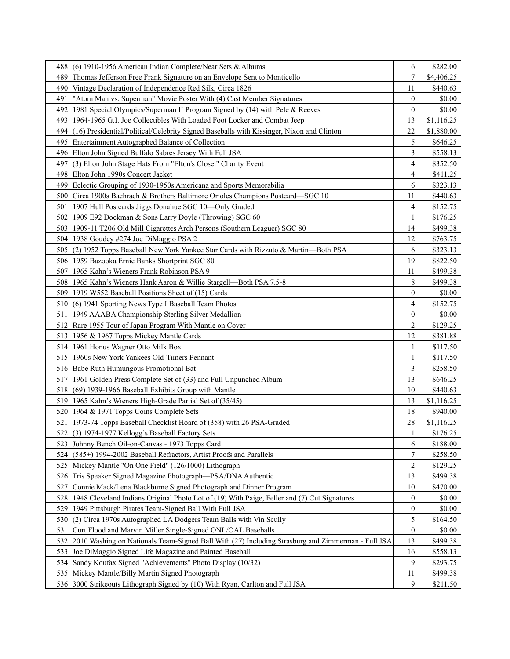| 488              | $(6)$ 1910-1956 American Indian Complete/Near Sets & Albums                                       | 6                       | \$282.00   |
|------------------|---------------------------------------------------------------------------------------------------|-------------------------|------------|
| 489              | Thomas Jefferson Free Frank Signature on an Envelope Sent to Monticello                           | 7                       | \$4,406.25 |
| 490              | Vintage Declaration of Independence Red Silk, Circa 1826                                          | 11                      | \$440.63   |
| 491              | "Atom Man vs. Superman" Movie Poster With (4) Cast Member Signatures                              | $\mathbf{0}$            | \$0.00     |
| 492              | 1981 Special Olympics/Superman II Program Signed by (14) with Pele & Reeves                       | $\boldsymbol{0}$        | \$0.00     |
| 493              | 1964-1965 G.I. Joe Collectibles With Loaded Foot Locker and Combat Jeep                           | 13                      | \$1,116.25 |
| 494              | (16) Presidential/Political/Celebrity Signed Baseballs with Kissinger, Nixon and Clinton          | 22                      | \$1,880.00 |
| 495              | Entertainment Autographed Balance of Collection                                                   | 5                       | \$646.25   |
| 496              | Elton John Signed Buffalo Sabres Jersey With Full JSA                                             | 3                       | \$558.13   |
| 4971             | (3) Elton John Stage Hats From "Elton's Closet" Charity Event                                     | 4                       | \$352.50   |
|                  | 498 Elton John 1990s Concert Jacket                                                               | 4                       | \$411.25   |
|                  | 499 Eclectic Grouping of 1930-1950s Americana and Sports Memorabilia                              | 6                       | \$323.13   |
| 500              | Circa 1900s Bachrach & Brothers Baltimore Orioles Champions Postcard—SGC 10                       | 11                      | \$440.63   |
| 501              | 1907 Hull Postcards Jiggs Donahue SGC 10-Only Graded                                              | $\overline{4}$          | \$152.75   |
| 502              | 1909 E92 Dockman & Sons Larry Doyle (Throwing) SGC 60                                             | 1                       | \$176.25   |
|                  | 503   1909-11 T206 Old Mill Cigarettes Arch Persons (Southern Leaguer) SGC 80                     | 14                      | \$499.38   |
|                  | 504 1938 Goudey #274 Joe DiMaggio PSA 2                                                           | 12                      | \$763.75   |
|                  | 505 (2) 1952 Topps Baseball New York Yankee Star Cards with Rizzuto & Martin—Both PSA             | 6                       | \$323.13   |
|                  | 506 1959 Bazooka Ernie Banks Shortprint SGC 80                                                    | 19                      | \$822.50   |
| 507              | 1965 Kahn's Wieners Frank Robinson PSA 9                                                          | 11                      | \$499.38   |
|                  | 508 1965 Kahn's Wieners Hank Aaron & Willie Stargell—Both PSA 7.5-8                               | 8                       | \$499.38   |
|                  | 509 1919 W552 Baseball Positions Sheet of (15) Cards                                              | $\boldsymbol{0}$        | \$0.00     |
|                  | 510 (6) 1941 Sporting News Type I Baseball Team Photos                                            | 4                       | \$152.75   |
| 511              | 1949 AAABA Championship Sterling Silver Medallion                                                 | $\boldsymbol{0}$        | \$0.00     |
| 512 <sub>1</sub> | Rare 1955 Tour of Japan Program With Mantle on Cover                                              | 2                       | \$129.25   |
| 513              | 1956 & 1967 Topps Mickey Mantle Cards                                                             | 12                      | \$381.88   |
| 514 <sub>l</sub> | 1961 Honus Wagner Otto Milk Box                                                                   | 1                       | \$117.50   |
| 5151             | 1960s New York Yankees Old-Timers Pennant                                                         | 1                       | \$117.50   |
|                  | 516 Babe Ruth Humungous Promotional Bat                                                           | 3                       | \$258.50   |
| 517              | 1961 Golden Press Complete Set of (33) and Full Unpunched Album                                   | 13                      | \$646.25   |
|                  | 518 (69) 1939-1966 Baseball Exhibits Group with Mantle                                            | 10                      | \$440.63   |
| 519 <sub>1</sub> | 1965 Kahn's Wieners High-Grade Partial Set of (35/45)                                             | 13                      | \$1,116.25 |
|                  | 520 1964 & 1971 Topps Coins Complete Sets                                                         | 18                      | \$940.00   |
|                  | 521   1973-74 Topps Baseball Checklist Hoard of (358) with 26 PSA-Graded                          | 28                      | \$1,116.25 |
|                  | 522 (3) 1974-1977 Kellogg's Baseball Factory Sets                                                 | $\mathbf{1}$            | \$176.25   |
|                  | 523 Johnny Bench Oil-on-Canvas - 1973 Topps Card                                                  | 6                       | \$188.00   |
| 524 <sub>l</sub> | (585+) 1994-2002 Baseball Refractors, Artist Proofs and Parallels                                 | 7                       | \$258.50   |
| 525 <sub>1</sub> | Mickey Mantle "On One Field" (126/1000) Lithograph                                                | $\overline{\mathbf{c}}$ | \$129.25   |
| 526              | Tris Speaker Signed Magazine Photograph—PSA/DNA Authentic                                         | 13                      | \$499.38   |
| 527              | Connie Mack/Lena Blackburne Signed Photograph and Dinner Program                                  | 10                      | \$470.00   |
|                  | 528 1948 Cleveland Indians Original Photo Lot of (19) With Paige, Feller and (7) Cut Signatures   | 0                       | \$0.00     |
|                  | 529 1949 Pittsburgh Pirates Team-Signed Ball With Full JSA                                        | $\boldsymbol{0}$        | \$0.00     |
| 5301             | (2) Circa 1970s Autographed LA Dodgers Team Balls with Vin Scully                                 | 5                       | \$164.50   |
| 531              | Curt Flood and Marvin Miller Single-Signed ONL/OAL Baseballs                                      | $\boldsymbol{0}$        | \$0.00     |
| 532              | 2010 Washington Nationals Team-Signed Ball With (27) Including Strasburg and Zimmerman - Full JSA | 13                      | \$499.38   |
| 5331             | Joe DiMaggio Signed Life Magazine and Painted Baseball                                            | 16                      | \$558.13   |
| 534              | Sandy Koufax Signed "Achievements" Photo Display (10/32)                                          | 9                       | \$293.75   |
|                  | 535   Mickey Mantle/Billy Martin Signed Photograph                                                | 11                      | \$499.38   |
|                  | 536 3000 Strikeouts Lithograph Signed by (10) With Ryan, Carlton and Full JSA                     | 9                       | \$211.50   |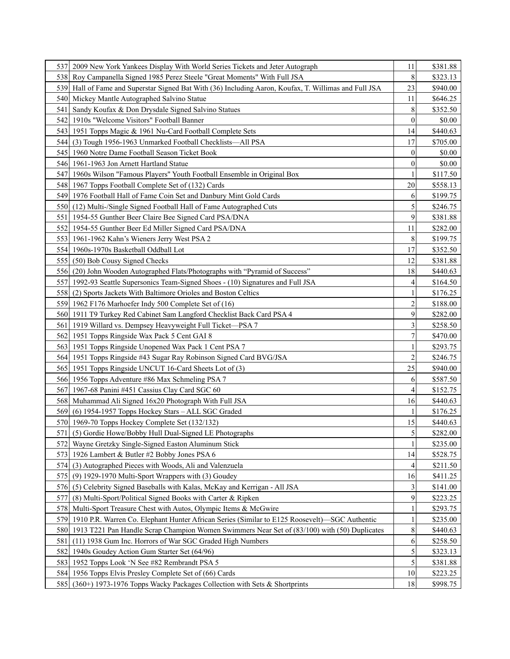|                  | 537 2009 New York Yankees Display With World Series Tickets and Jeter Autograph                   | 11             | \$381.88 |
|------------------|---------------------------------------------------------------------------------------------------|----------------|----------|
| 538I             | Roy Campanella Signed 1985 Perez Steele "Great Moments" With Full JSA                             | 8              | \$323.13 |
| 539              | Hall of Fame and Superstar Signed Bat With (36) Including Aaron, Koufax, T. Willimas and Full JSA | 23             | \$940.00 |
| 540              | Mickey Mantle Autographed Salvino Statue                                                          | 11             | \$646.25 |
| 541              | Sandy Koufax & Don Drysdale Signed Salvino Statues                                                | 8              | \$352.50 |
| 542              | 1910s "Welcome Visitors" Football Banner                                                          | 0              | \$0.00   |
| 5431             | 1951 Topps Magic & 1961 Nu-Card Football Complete Sets                                            | 14             | \$440.63 |
| 5441             | (3) Tough 1956-1963 Unmarked Football Checklists—All PSA                                          | 17             | \$705.00 |
|                  | 545   1960 Notre Dame Football Season Ticket Book                                                 | $\theta$       | \$0.00   |
|                  | 546 1961-1963 Jon Arnett Hartland Statue                                                          | 0              | \$0.00   |
| 547 I            | 1960s Wilson "Famous Players" Youth Football Ensemble in Original Box                             |                | \$117.50 |
|                  | 548 1967 Topps Football Complete Set of (132) Cards                                               | 20             | \$558.13 |
|                  | 549 1976 Football Hall of Fame Coin Set and Danbury Mint Gold Cards                               | 6              | \$199.75 |
| 550 <sub>L</sub> | (12) Multi-/Single Signed Football Hall of Fame Autographed Cuts                                  | 5              | \$246.75 |
| 551              | 1954-55 Gunther Beer Claire Bee Signed Card PSA/DNA                                               | 9              | \$381.88 |
| 552              | 1954-55 Gunther Beer Ed Miller Signed Card PSA/DNA                                                | 11             | \$282.00 |
| 5531             | 1961-1962 Kahn's Wieners Jerry West PSA 2                                                         | 8              | \$199.75 |
| 554 <sub>l</sub> | 1960s-1970s Basketball Oddball Lot                                                                | 17             | \$352.50 |
| 5551             | (50) Bob Cousy Signed Checks                                                                      | 12             | \$381.88 |
| 5561             | (20) John Wooden Autographed Flats/Photographs with "Pyramid of Success"                          | 18             | \$440.63 |
| 5571             | 1992-93 Seattle Supersonics Team-Signed Shoes - (10) Signatures and Full JSA                      | 4              | \$164.50 |
| 558              | (2) Sports Jackets With Baltimore Orioles and Boston Celtics                                      |                | \$176.25 |
|                  | 559 1962 F176 Marhoefer Indy 500 Complete Set of (16)                                             | $\overline{c}$ | \$188.00 |
|                  | 560 1911 T9 Turkey Red Cabinet Sam Langford Checklist Back Card PSA 4                             | 9              | \$282.00 |
| 561              | 1919 Willard vs. Dempsey Heavyweight Full Ticket-PSA 7                                            | 3              | \$258.50 |
| 562              | 1951 Topps Ringside Wax Pack 5 Cent GAI 8                                                         | 7              | \$470.00 |
| 563              | 1951 Topps Ringside Unopened Wax Pack 1 Cent PSA 7                                                |                | \$293.75 |
| 564              | 1951 Topps Ringside #43 Sugar Ray Robinson Signed Card BVG/JSA                                    |                | \$246.75 |
|                  | 565 1951 Topps Ringside UNCUT 16-Card Sheets Lot of (3)                                           | 25             | \$940.00 |
|                  | 566 1956 Topps Adventure #86 Max Schmeling PSA 7                                                  | 6              | \$587.50 |
| 567              | 1967-68 Panini #451 Cassius Clay Card SGC 60                                                      |                | \$152.75 |
| 568 <sub>1</sub> | Muhammad Ali Signed 16x20 Photograph With Full JSA                                                | 16             | \$440.63 |
| 569              | (6) 1954-1957 Topps Hockey Stars - ALL SGC Graded                                                 |                | \$176.25 |
|                  | 570 1969-70 Topps Hockey Complete Set (132/132)                                                   | 15             | \$440.63 |
|                  | 571 (5) Gordie Howe/Bobby Hull Dual-Signed LE Photographs                                         | 5              | \$282.00 |
|                  | 572 Wayne Gretzky Single-Signed Easton Aluminum Stick                                             | 1              | \$235.00 |
|                  | 573 1926 Lambert & Butler #2 Bobby Jones PSA 6                                                    | 14             | \$528.75 |
|                  | 574 (3) Autographed Pieces with Woods, Ali and Valenzuela                                         |                | \$211.50 |
|                  | 575 (9) 1929-1970 Multi-Sport Wrappers with (3) Goudey                                            | 16             | \$411.25 |
| 576 <sub>I</sub> | (5) Celebrity Signed Baseballs with Kalas, McKay and Kerrigan - All JSA                           | 3              | \$141.00 |
| 577              | (8) Multi-Sport/Political Signed Books with Carter & Ripken                                       | 9              | \$223.25 |
|                  | 578 Multi-Sport Treasure Chest with Autos, Olympic Items & McGwire                                |                | \$293.75 |
| 5791             | 1910 P.R. Warren Co. Elephant Hunter African Series (Similar to E125 Roosevelt)—SGC Authentic     |                | \$235.00 |
| 580              | 1913 T221 Pan Handle Scrap Champion Women Swimmers Near Set of (83/100) with (50) Duplicates      | 8              | \$440.63 |
| 581              | (11) 1938 Gum Inc. Horrors of War SGC Graded High Numbers                                         | 6              | \$258.50 |
| 582              | 1940s Goudey Action Gum Starter Set (64/96)                                                       | 5              | \$323.13 |
|                  | 583 1952 Topps Look 'N See #82 Rembrandt PSA 5                                                    | 5              | \$381.88 |
|                  | 584 1956 Topps Elvis Presley Complete Set of (66) Cards                                           | 10             | \$223.25 |
| 5851             | (360+) 1973-1976 Topps Wacky Packages Collection with Sets & Shortprints                          | 18             | \$998.75 |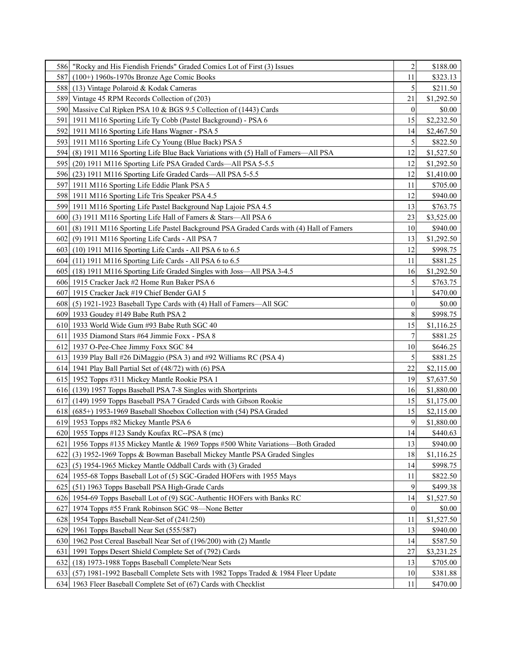|      | 586   "Rocky and His Fiendish Friends" Graded Comics Lot of First (3) Issues               | 2                | \$188.00   |
|------|--------------------------------------------------------------------------------------------|------------------|------------|
|      | 587 (100+) 1960s-1970s Bronze Age Comic Books                                              | 11               | \$323.13   |
|      | 588 (13) Vintage Polaroid & Kodak Cameras                                                  | 5                | \$211.50   |
|      | 589 Vintage 45 RPM Records Collection of (203)                                             | 21               | \$1,292.50 |
|      | 590 Massive Cal Ripken PSA 10 & BGS 9.5 Collection of (1443) Cards                         | $\theta$         | \$0.00     |
|      | 591   1911 M116 Sporting Life Ty Cobb (Pastel Background) - PSA 6                          | 15               | \$2,232.50 |
|      | 592 1911 M116 Sporting Life Hans Wagner - PSA 5                                            | 14               | \$2,467.50 |
|      | 593 1911 M116 Sporting Life Cy Young (Blue Back) PSA 5                                     | 5                | \$822.50   |
|      | 594 (8) 1911 M116 Sporting Life Blue Back Variations with (5) Hall of Famers—All PSA       | 12               | \$1,527.50 |
|      | 595 (20) 1911 M116 Sporting Life PSA Graded Cards—All PSA 5-5.5                            | 12               | \$1,292.50 |
|      | 596 (23) 1911 M116 Sporting Life Graded Cards—All PSA 5-5.5                                | 12               | \$1,410.00 |
|      | 597 1911 M116 Sporting Life Eddie Plank PSA 5                                              | 11               | \$705.00   |
|      | 598 1911 M116 Sporting Life Tris Speaker PSA 4.5                                           | 12               | \$940.00   |
|      | 599 1911 M116 Sporting Life Pastel Background Nap Lajoie PSA 4.5                           | 13               | \$763.75   |
|      | 600 (3) 1911 M116 Sporting Life Hall of Famers & Stars—All PSA 6                           | 23               | \$3,525.00 |
|      | 601 (8) 1911 M116 Sporting Life Pastel Background PSA Graded Cards with (4) Hall of Famers | 10               | \$940.00   |
|      | 602 (9) 1911 M116 Sporting Life Cards - All PSA 7                                          | 13               | \$1,292.50 |
|      | 603 (10) 1911 M116 Sporting Life Cards - All PSA 6 to 6.5                                  | 12               | \$998.75   |
|      | 604 (11) 1911 M116 Sporting Life Cards - All PSA 6 to 6.5                                  | 11               | \$881.25   |
|      | 605 (18) 1911 M116 Sporting Life Graded Singles with Joss—All PSA 3-4.5                    | 16               | \$1,292.50 |
|      | 606 1915 Cracker Jack #2 Home Run Baker PSA 6                                              | 5                | \$763.75   |
|      | 607 1915 Cracker Jack #19 Chief Bender GAI 5                                               |                  | \$470.00   |
|      | 608 (5) 1921-1923 Baseball Type Cards with (4) Hall of Famers—All SGC                      | 0                | \$0.00     |
|      | 609 1933 Goudey #149 Babe Ruth PSA 2                                                       | 8                | \$998.75   |
|      | 610 1933 World Wide Gum #93 Babe Ruth SGC 40                                               | 15               | \$1,116.25 |
|      | 611 1935 Diamond Stars #64 Jimmie Foxx - PSA 8                                             | 7                | \$881.25   |
|      | 612 1937 O-Pee-Chee Jimmy Foxx SGC 84                                                      | 10               | \$646.25   |
|      | 613 1939 Play Ball #26 DiMaggio (PSA 3) and #92 Williams RC (PSA 4)                        | 5                | \$881.25   |
|      | 614 1941 Play Ball Partial Set of (48/72) with (6) PSA                                     | 22               | \$2,115.00 |
|      | 615 1952 Topps #311 Mickey Mantle Rookie PSA 1                                             | 19               | \$7,637.50 |
|      | 616 (139) 1957 Topps Baseball PSA 7-8 Singles with Shortprints                             | 16               | \$1,880.00 |
|      | 617 (149) 1959 Topps Baseball PSA 7 Graded Cards with Gibson Rookie                        | 15               | \$1,175.00 |
|      | 618 $(685+)$ 1953-1969 Baseball Shoebox Collection with $(54)$ PSA Graded                  | 15               | \$2,115.00 |
|      | 619 1953 Topps #82 Mickey Mantle PSA 6                                                     | 9                | \$1,880.00 |
|      | 620 1955 Topps #123 Sandy Koufax RC--PSA 8 (mc)                                            | 14               | \$440.63   |
|      | 621 1956 Topps #135 Mickey Mantle & 1969 Topps #500 White Variations—Both Graded           | 13               | \$940.00   |
| 6221 | (3) 1952-1969 Topps & Bowman Baseball Mickey Mantle PSA Graded Singles                     | 18               | \$1,116.25 |
| 623  | (5) 1954-1965 Mickey Mantle Oddball Cards with (3) Graded                                  | 14               | \$998.75   |
|      | 624 1955-68 Topps Baseball Lot of (5) SGC-Graded HOFers with 1955 Mays                     | 11               | \$822.50   |
| 625  | (51) 1963 Topps Baseball PSA High-Grade Cards                                              | 9                | \$499.38   |
|      | 626 1954-69 Topps Baseball Lot of (9) SGC-Authentic HOFers with Banks RC                   | 14               | \$1,527.50 |
|      | 627 1974 Topps #55 Frank Robinson SGC 98—None Better                                       | $\boldsymbol{0}$ | \$0.00     |
|      | 628 1954 Topps Baseball Near-Set of (241/250)                                              | 11               | \$1,527.50 |
|      | 629 1961 Topps Baseball Near Set (555/587)                                                 | 13               | \$940.00   |
|      | 630 1962 Post Cereal Baseball Near Set of (196/200) with (2) Mantle                        | 14               | \$587.50   |
| 631  | 1991 Topps Desert Shield Complete Set of (792) Cards                                       | 27               | \$3,231.25 |
| 632  | (18) 1973-1988 Topps Baseball Complete/Near Sets                                           | 13               | \$705.00   |
| 6331 | (57) 1981-1992 Baseball Complete Sets with 1982 Topps Traded & 1984 Fleer Update           | 10               | \$381.88   |
|      | 634 1963 Fleer Baseball Complete Set of (67) Cards with Checklist                          | 11               | \$470.00   |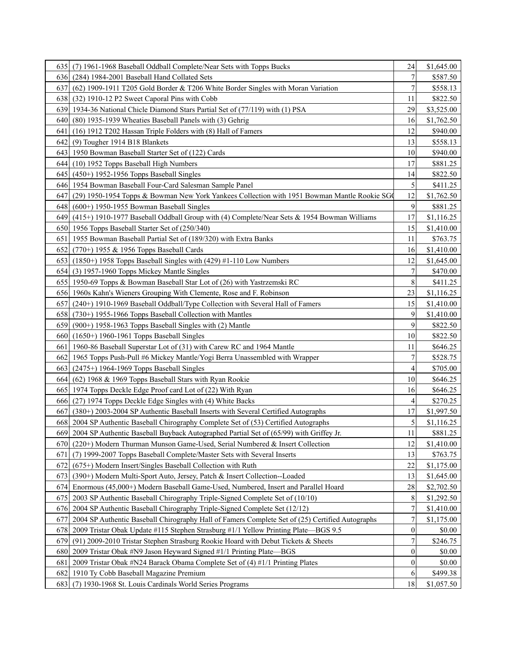| 6351             | (7) 1961-1968 Baseball Oddball Complete/Near Sets with Topps Bucks                              | 24               | \$1,645.00 |
|------------------|-------------------------------------------------------------------------------------------------|------------------|------------|
| 6361             | (284) 1984-2001 Baseball Hand Collated Sets                                                     |                  | \$587.50   |
| 637              | (62) 1909-1911 T205 Gold Border & T206 White Border Singles with Moran Variation                | 7                | \$558.13   |
|                  | 638 (32) 1910-12 P2 Sweet Caporal Pins with Cobb                                                | 11               | \$822.50   |
| 639I             | 1934-36 National Chicle Diamond Stars Partial Set of (77/119) with (1) PSA                      | 29               | \$3,525.00 |
| 6401             | (80) 1935-1939 Wheaties Baseball Panels with (3) Gehrig                                         | 16               | \$1,762.50 |
| 641              | (16) 1912 T202 Hassan Triple Folders with (8) Hall of Famers                                    | 12               | \$940.00   |
| 6421             | (9) Tougher 1914 B18 Blankets                                                                   | 13               | \$558.13   |
| 6431             | 1950 Bowman Baseball Starter Set of (122) Cards                                                 | 10               | \$940.00   |
| 644              | (10) 1952 Topps Baseball High Numbers                                                           | 17               | \$881.25   |
| 6451             | $(450+)$ 1952-1956 Topps Baseball Singles                                                       | 14               | \$822.50   |
| 6461             | 1954 Bowman Baseball Four-Card Salesman Sample Panel                                            | 5                | \$411.25   |
| 647              | (29) 1950-1954 Topps & Bowman New York Yankees Collection with 1951 Bowman Mantle Rookie SG     | 12               | \$1,762.50 |
| 6481             | $(600+)$ 1950-1955 Bowman Baseball Singles                                                      | 9                | \$881.25   |
| 6491             | (415+) 1910-1977 Baseball Oddball Group with (4) Complete/Near Sets & 1954 Bowman Williams      | 17               | \$1,116.25 |
|                  | 650 1956 Topps Baseball Starter Set of (250/340)                                                | 15               | \$1,410.00 |
| 6511             | 1955 Bowman Baseball Partial Set of (189/320) with Extra Banks                                  | 11               | \$763.75   |
| 6521             | $(770+)$ 1955 & 1956 Topps Baseball Cards                                                       | 16               | \$1,410.00 |
| 6531             | (1850+) 1958 Topps Baseball Singles with (429) #1-110 Low Numbers                               | 12               | \$1,645.00 |
| 654 I            | (3) 1957-1960 Topps Mickey Mantle Singles                                                       | 7                | \$470.00   |
|                  | 655 1950-69 Topps & Bowman Baseball Star Lot of (26) with Yastrzemski RC                        | 8                | \$411.25   |
|                  | 656 1960s Kahn's Wieners Grouping With Clemente, Rose and F. Robinson                           | 23               | \$1,116.25 |
| 6571             | (240+) 1910-1969 Baseball Oddball/Type Collection with Several Hall of Famers                   | 15               | \$1,410.00 |
| 6581             | (730+) 1955-1966 Topps Baseball Collection with Mantles                                         | 9                | \$1,410.00 |
| 6591             | (900+) 1958-1963 Topps Baseball Singles with (2) Mantle                                         | 9                | \$822.50   |
| 660 <sub>l</sub> | $(1650+)$ 1960-1961 Topps Baseball Singles                                                      | 10               | \$822.50   |
| 661              | 1960-86 Baseball Superstar Lot of (31) with Carew RC and 1964 Mantle                            | 11               | \$646.25   |
| 662I             | 1965 Topps Push-Pull #6 Mickey Mantle/Yogi Berra Unassembled with Wrapper                       | 7                | \$528.75   |
|                  | 663 (2475+) 1964-1969 Topps Baseball Singles                                                    | 4                | \$705.00   |
|                  | 664 (62) 1968 & 1969 Topps Baseball Stars with Ryan Rookie                                      | 10               | \$646.25   |
|                  | 665 1974 Topps Deckle Edge Proof card Lot of (22) With Ryan                                     | 16               | \$646.25   |
| 6661             | (27) 1974 Topps Deckle Edge Singles with (4) White Backs                                        | 4                | \$270.25   |
| 667              | $(380+)$ 2003-2004 SP Authentic Baseball Inserts with Several Certified Autographs              | 17               | \$1,997.50 |
|                  | 668 2004 SP Authentic Baseball Chirography Complete Set of (53) Certified Autographs            | 5                | \$1,116.25 |
|                  | 669 2004 SP Authentic Baseball Buyback Autographed Partial Set of (65/99) with Griffey Jr.      | 11               | \$881.25   |
|                  | 670 (220+) Modern Thurman Munson Game-Used, Serial Numbered & Insert Collection                 | 12               | \$1,410.00 |
| 671              | (7) 1999-2007 Topps Baseball Complete/Master Sets with Several Inserts                          | 13               | \$763.75   |
| 6721             | (675+) Modern Insert/Singles Baseball Collection with Ruth                                      | 22               | \$1,175.00 |
| 6731             | (390+) Modern Multi-Sport Auto, Jersey, Patch & Insert Collection--Loaded                       | 13               | \$1,645.00 |
| 6741             | Enormous (45,000+) Modern Baseball Game-Used, Numbered, Insert and Parallel Hoard               | 28               | \$2,702.50 |
| 675              | 2003 SP Authentic Baseball Chirography Triple-Signed Complete Set of (10/10)                    | 8                | \$1,292.50 |
|                  | 676 2004 SP Authentic Baseball Chirography Triple-Signed Complete Set (12/12)                   | 7                | \$1,410.00 |
| 677              | 2004 SP Authentic Baseball Chirography Hall of Famers Complete Set of (25) Certified Autographs | 7                | \$1,175.00 |
| 678              | 2009 Tristar Obak Update #115 Stephen Strasburg #1/1 Yellow Printing Plate-BGS 9.5              | $\boldsymbol{0}$ | \$0.00     |
| 679              | (91) 2009-2010 Tristar Stephen Strasburg Rookie Hoard with Debut Tickets & Sheets               | 7                | \$246.75   |
| 680              | 2009 Tristar Obak #N9 Jason Heyward Signed #1/1 Printing Plate-BGS                              | $\boldsymbol{0}$ | \$0.00     |
| 681              | 2009 Tristar Obak #N24 Barack Obama Complete Set of (4) #1/1 Printing Plates                    | $\mathbf{0}$     | \$0.00     |
| 682              | 1910 Ty Cobb Baseball Magazine Premium                                                          | 6                | \$499.38   |
| 683              | (7) 1930-1968 St. Louis Cardinals World Series Programs                                         | 18               | \$1,057.50 |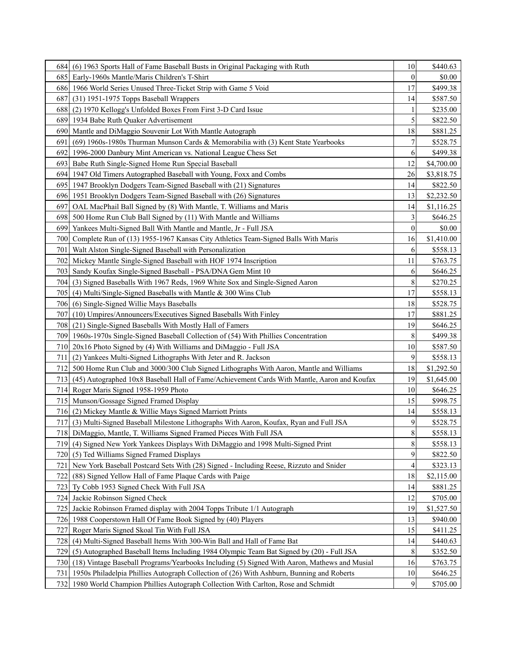|                  | 684 (6) 1963 Sports Hall of Fame Baseball Busts in Original Packaging with Ruth                 | 10               | \$440.63   |
|------------------|-------------------------------------------------------------------------------------------------|------------------|------------|
| 685              | Early-1960s Mantle/Maris Children's T-Shirt                                                     | $\boldsymbol{0}$ | \$0.00     |
| 686              | 1966 World Series Unused Three-Ticket Strip with Game 5 Void                                    | 17               | \$499.38   |
| 687              | (31) 1951-1975 Topps Baseball Wrappers                                                          | 14               | \$587.50   |
| 688              | (2) 1970 Kellogg's Unfolded Boxes From First 3-D Card Issue                                     |                  | \$235.00   |
| 689              | 1934 Babe Ruth Quaker Advertisement                                                             | 5                | \$822.50   |
| 690              | Mantle and DiMaggio Souvenir Lot With Mantle Autograph                                          | 18               | \$881.25   |
| 691              | $(69)$ 1960s-1980s Thurman Munson Cards & Memorabilia with (3) Kent State Yearbooks             | 7                | \$528.75   |
| 692              | 1996-2000 Danbury Mint American vs. National League Chess Set                                   | 6                | \$499.38   |
| 693              | Babe Ruth Single-Signed Home Run Special Baseball                                               | 12               | \$4,700.00 |
| 694              | 1947 Old Timers Autographed Baseball with Young, Foxx and Combs                                 | 26               | \$3,818.75 |
| 695I             | 1947 Brooklyn Dodgers Team-Signed Baseball with (21) Signatures                                 | 14               | \$822.50   |
| 696              | 1951 Brooklyn Dodgers Team-Signed Baseball with (26) Signatures                                 | 13               | \$2,232.50 |
| 697              | OAL MacPhail Ball Signed by (8) With Mantle, T. Williams and Maris                              | 14               | \$1,116.25 |
| 698              | 500 Home Run Club Ball Signed by (11) With Mantle and Williams                                  | 3                | \$646.25   |
| 699              | Yankees Multi-Signed Ball With Mantle and Mantle, Jr - Full JSA                                 | $\boldsymbol{0}$ | \$0.00     |
|                  | 700 Complete Run of (13) 1955-1967 Kansas City Athletics Team-Signed Balls With Maris           | 16               | \$1,410.00 |
| 701              | Walt Alston Single-Signed Baseball with Personalization                                         | 6                | \$558.13   |
| 702              | Mickey Mantle Single-Signed Baseball with HOF 1974 Inscription                                  | 11               | \$763.75   |
| 703              | Sandy Koufax Single-Signed Baseball - PSA/DNA Gem Mint 10                                       | 6                | \$646.25   |
| 704              | (3) Signed Baseballs With 1967 Reds, 1969 White Sox and Single-Signed Aaron                     | 8                | \$270.25   |
| 705 <sub>1</sub> | (4) Multi/Single-Signed Baseballs with Mantle & 300 Wins Club                                   | 17               | \$558.13   |
|                  | 706 (6) Single-Signed Willie Mays Baseballs                                                     | 18               | \$528.75   |
| 707              | (10) Umpires/Announcers/Executives Signed Baseballs With Finley                                 | 17               | \$881.25   |
| 7081             | (21) Single-Signed Baseballs With Mostly Hall of Famers                                         | 19               | \$646.25   |
| 709              | 1960s-1970s Single-Signed Baseball Collection of (54) With Phillies Concentration               | 8                | \$499.38   |
| 710I             | 20x16 Photo Signed by (4) With Williams and DiMaggio - Full JSA                                 | 10               | \$587.50   |
| 711              | (2) Yankees Multi-Signed Lithographs With Jeter and R. Jackson                                  | 9                | \$558.13   |
| 712              | 500 Home Run Club and 3000/300 Club Signed Lithographs With Aaron, Mantle and Williams          | 18               | \$1,292.50 |
|                  | 713 (45) Autographed 10x8 Baseball Hall of Fame/Achievement Cards With Mantle, Aaron and Koufax | 19               | \$1,645.00 |
|                  | 714 Roger Maris Signed 1958-1959 Photo                                                          | 10               | \$646.25   |
|                  | 715 Munson/Gossage Signed Framed Display                                                        | 15               | \$998.75   |
| 716 <sub>1</sub> | (2) Mickey Mantle & Willie Mays Signed Marriott Prints                                          | 14               | \$558.13   |
| <b>717</b>       | (3) Multi-Signed Baseball Milestone Lithographs With Aaron, Koufax, Ryan and Full JSA           | 9                | \$528.75   |
|                  | 718 DiMaggio, Mantle, T. Williams Signed Framed Pieces With Full JSA                            | $\,$ $\,$        | \$558.13   |
|                  | 719 (4) Signed New York Yankees Displays With DiMaggio and 1998 Multi-Signed Print              | 8                | \$558.13   |
| 720I             | (5) Ted Williams Signed Framed Displays                                                         | 9                | \$822.50   |
| 721              | New York Baseball Postcard Sets With (28) Signed - Including Reese, Rizzuto and Snider          | 4                | \$323.13   |
| 722              | (88) Signed Yellow Hall of Fame Plaque Cards with Paige                                         | 18               | \$2,115.00 |
| 723              | Ty Cobb 1953 Signed Check With Full JSA                                                         | 14               | \$881.25   |
| 724              | Jackie Robinson Signed Check                                                                    | 12               | \$705.00   |
| 725              | Jackie Robinson Framed display with 2004 Topps Tribute 1/1 Autograph                            | 19               | \$1,527.50 |
| 726              | 1988 Cooperstown Hall Of Fame Book Signed by (40) Players                                       | 13               | \$940.00   |
| 727              | Roger Maris Signed Skoal Tin With Full JSA                                                      | 15               | \$411.25   |
| 728              | (4) Multi-Signed Baseball Items With 300-Win Ball and Hall of Fame Bat                          | 14               | \$440.63   |
| 729              | (5) Autographed Baseball Items Including 1984 Olympic Team Bat Signed by (20) - Full JSA        | 8                | \$352.50   |
| 730              | (18) Vintage Baseball Programs/Yearbooks Including (5) Signed With Aaron, Mathews and Musial    | 16               | \$763.75   |
| 731              | 1950s Philadelpia Phillies Autograph Collection of (26) With Ashburn, Bunning and Roberts       | 10               | \$646.25   |
| 732              | 1980 World Champion Phillies Autograph Collection With Carlton, Rose and Schmidt                | 9                | \$705.00   |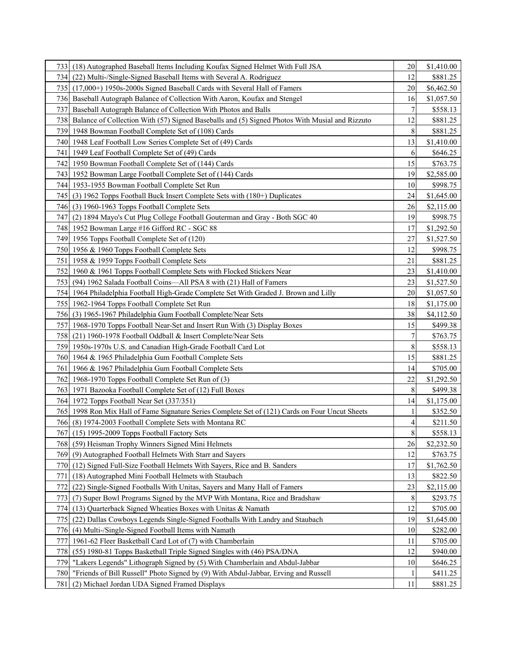| 7331  | (18) Autographed Baseball Items Including Koufax Signed Helmet With Full JSA                    | 20              | \$1,410.00 |
|-------|-------------------------------------------------------------------------------------------------|-----------------|------------|
| 734I  | (22) Multi-/Single-Signed Baseball Items with Several A. Rodriguez                              | 12              | \$881.25   |
| 735 I | (17,000+) 1950s-2000s Signed Baseball Cards with Several Hall of Famers                         | 20              | \$6,462.50 |
| 736I  | Baseball Autograph Balance of Collection With Aaron, Koufax and Stengel                         | 16              | \$1,057.50 |
| 737   | Baseball Autograph Balance of Collection With Photos and Balls                                  | 7               | \$558.13   |
| 738I  | Balance of Collection With (57) Signed Baseballs and (5) Signed Photos With Musial and Rizzuto  | 12              | \$881.25   |
| 7391  | 1948 Bowman Football Complete Set of (108) Cards                                                | 8               | \$881.25   |
| 740I  | 1948 Leaf Football Low Series Complete Set of (49) Cards                                        | 13              | \$1,410.00 |
| 741   | 1949 Leaf Football Complete Set of (49) Cards                                                   | 6               | \$646.25   |
| 742   | 1950 Bowman Football Complete Set of (144) Cards                                                | 15              | \$763.75   |
| 7431  | 1952 Bowman Large Football Complete Set of (144) Cards                                          | 19              | \$2,585.00 |
| 744 I | 1953-1955 Bowman Football Complete Set Run                                                      | 10              | \$998.75   |
| 745 I | (3) 1962 Topps Football Buck Insert Complete Sets with (180+) Duplicates                        | 24              | \$1,645.00 |
| 7461  | (3) 1960-1963 Topps Football Complete Sets                                                      | 26              | \$2,115.00 |
| 747   | (2) 1894 Mayo's Cut Plug College Football Gouterman and Gray - Both SGC 40                      | 19              | \$998.75   |
| 748 I | 1952 Bowman Large #16 Gifford RC - SGC 88                                                       | 17              | \$1,292.50 |
|       | 749 1956 Topps Football Complete Set of (120)                                                   | 27              | \$1,527.50 |
|       | 750 1956 & 1960 Topps Football Complete Sets                                                    | 12              | \$998.75   |
| 751   | 1958 & 1959 Topps Football Complete Sets                                                        | 21              | \$881.25   |
| 752   | 1960 & 1961 Topps Football Complete Sets with Flocked Stickers Near                             | 23              | \$1,410.00 |
| 753   | (94) 1962 Salada Football Coins-All PSA 8 with (21) Hall of Famers                              | 23              | \$1,527.50 |
| 754   | 1964 Philadelphia Football High-Grade Complete Set With Graded J. Brown and Lilly               | 20              | \$1,057.50 |
| 7551  | 1962-1964 Topps Football Complete Set Run                                                       | 18              | \$1,175.00 |
| 756I  | (3) 1965-1967 Philadelphia Gum Football Complete/Near Sets                                      | 38              | \$4,112.50 |
| 757   | 1968-1970 Topps Football Near-Set and Insert Run With (3) Display Boxes                         | 15              | \$499.38   |
| 758I  | (21) 1960-1978 Football Oddball & Insert Complete/Near Sets                                     | 7               | \$763.75   |
| 7591  | 1950s-1970s U.S. and Canadian High-Grade Football Card Lot                                      | 8               | \$558.13   |
| 7601  | 1964 & 1965 Philadelphia Gum Football Complete Sets                                             | 15              | \$881.25   |
| 761   | 1966 & 1967 Philadelphia Gum Football Complete Sets                                             | 14              | \$705.00   |
| 7621  | 1968-1970 Topps Football Complete Set Run of (3)                                                | 22              | \$1,292.50 |
| 7631  | 1971 Bazooka Football Complete Set of (12) Full Boxes                                           | 8               | \$499.38   |
| 7641  | 1972 Topps Football Near Set (337/351)                                                          | 14              | \$1,175.00 |
|       | 765 1998 Ron Mix Hall of Fame Signature Series Complete Set of (121) Cards on Four Uncut Sheets |                 | \$352.50   |
|       | 766 (8) 1974-2003 Football Complete Sets with Montana RC                                        | 4               | \$211.50   |
|       | 767 (15) 1995-2009 Topps Football Factory Sets                                                  | $\vert 8 \vert$ | \$558.13   |
|       | 768 (59) Heisman Trophy Winners Signed Mini Helmets                                             | 26              | \$2,232.50 |
| 7691  | (9) Autographed Football Helmets With Starr and Sayers                                          | 12              | \$763.75   |
|       | 770 (12) Signed Full-Size Football Helmets With Sayers, Rice and B. Sanders                     | 17              | \$1,762.50 |
| 771   | (18) Autographed Mini Football Helmets with Staubach                                            | 13              | \$822.50   |
| 772   | (22) Single-Signed Footballs With Unitas, Sayers and Many Hall of Famers                        | 23              | \$2,115.00 |
| 773   | (7) Super Bowl Programs Signed by the MVP With Montana, Rice and Bradshaw                       | $\,$ 8 $\,$     | \$293.75   |
| 774I  | (13) Quarterback Signed Wheaties Boxes with Unitas & Namath                                     | 12              | \$705.00   |
| 7751  | (22) Dallas Cowboys Legends Single-Signed Footballs With Landry and Staubach                    | 19              | \$1,645.00 |
| 7761  | (4) Multi-/Single-Signed Football Items with Namath                                             | 10              | \$282.00   |
| 777   | 1961-62 Fleer Basketball Card Lot of (7) with Chamberlain                                       | 11              | \$705.00   |
| 778   | (55) 1980-81 Topps Basketball Triple Signed Singles with (46) PSA/DNA                           | 12              | \$940.00   |
| 779   | "Lakers Legends" Lithograph Signed by (5) With Chamberlain and Abdul-Jabbar                     | 10              | \$646.25   |
| 780   | "Friends of Bill Russell" Photo Signed by (9) With Abdul-Jabbar, Erving and Russell             |                 | \$411.25   |
| 781 I | (2) Michael Jordan UDA Signed Framed Displays                                                   | 11              | \$881.25   |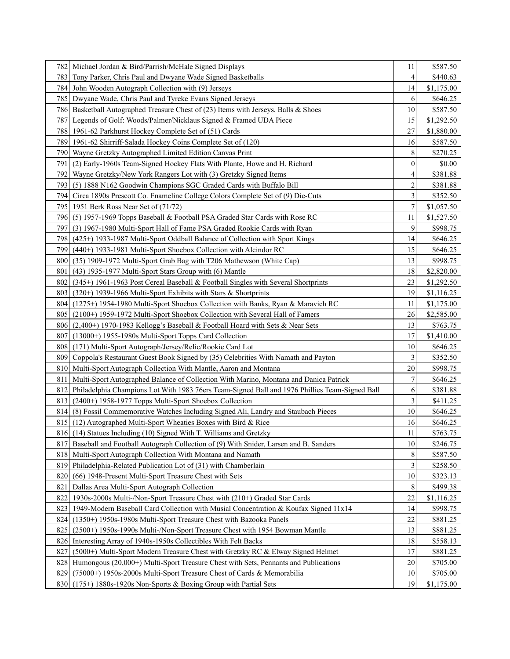| 782  | Michael Jordan & Bird/Parrish/McHale Signed Displays                                           | 11             | \$587.50   |
|------|------------------------------------------------------------------------------------------------|----------------|------------|
| 783  | Tony Parker, Chris Paul and Dwyane Wade Signed Basketballs                                     | 4              | \$440.63   |
| 7841 | John Wooden Autograph Collection with (9) Jerseys                                              | 14             | \$1,175.00 |
| 7851 | Dwyane Wade, Chris Paul and Tyreke Evans Signed Jerseys                                        | 6              | \$646.25   |
| 786I | Basketball Autographed Treasure Chest of (23) Items with Jerseys, Balls & Shoes                | 10             | \$587.50   |
| 7871 | Legends of Golf: Woods/Palmer/Nicklaus Signed & Framed UDA Piece                               | 15             | \$1,292.50 |
| 788I | 1961-62 Parkhurst Hockey Complete Set of (51) Cards                                            | 27             | \$1,880.00 |
| 789  | 1961-62 Shirriff-Salada Hockey Coins Complete Set of (120)                                     | 16             | \$587.50   |
| 790  | Wayne Gretzky Autographed Limited Edition Canvas Print                                         | 8              | \$270.25   |
| 791  | (2) Early-1960s Team-Signed Hockey Flats With Plante, Howe and H. Richard                      | 0              | \$0.00     |
| 792  | Wayne Gretzky/New York Rangers Lot with (3) Gretzky Signed Items                               | 4              | \$381.88   |
| 7931 | (5) 1888 N162 Goodwin Champions SGC Graded Cards with Buffalo Bill                             | $\overline{2}$ | \$381.88   |
| 794  | Circa 1890s Prescott Co. Enameline College Colors Complete Set of (9) Die-Cuts                 | 3              | \$352.50   |
| 795  | 1951 Berk Ross Near Set of (71/72)                                                             | 7              | \$1,057.50 |
| 7961 | (5) 1957-1969 Topps Baseball & Football PSA Graded Star Cards with Rose RC                     | 11             | \$1,527.50 |
| 7971 | (3) 1967-1980 Multi-Sport Hall of Fame PSA Graded Rookie Cards with Ryan                       | 9              | \$998.75   |
| 7981 | (425+) 1933-1987 Multi-Sport Oddball Balance of Collection with Sport Kings                    | 14             | \$646.25   |
| 7991 | (440+) 1933-1981 Multi-Sport Shoebox Collection with Alcindor RC                               | 15             | \$646.25   |
| 8001 | (35) 1909-1972 Multi-Sport Grab Bag with T206 Mathewson (White Cap)                            | 13             | \$998.75   |
| 801  | $(43)$ 1935-1977 Multi-Sport Stars Group with $(6)$ Mantle                                     | 18             | \$2,820.00 |
| 802  | (345+) 1961-1963 Post Cereal Baseball & Football Singles with Several Shortprints              | 23             | \$1,292.50 |
| 8031 | (320+) 1939-1966 Multi-Sport Exhibits with Stars & Shortprints                                 | 19             | \$1,116.25 |
| 8041 | (1275+) 1954-1980 Multi-Sport Shoebox Collection with Banks, Ryan & Maravich RC                | 11             | \$1,175.00 |
| 8051 | (2100+) 1959-1972 Multi-Sport Shoebox Collection with Several Hall of Famers                   | 26             | \$2,585.00 |
|      | 806 (2,400+) 1970-1983 Kellogg's Baseball & Football Hoard with Sets & Near Sets               | 13             | \$763.75   |
| 8071 | $(13000+)$ 1955-1980s Multi-Sport Topps Card Collection                                        | 17             | \$1,410.00 |
|      | 808 (171) Multi-Sport Autograph/Jersey/Relic/Rookie Card Lot                                   | 10             | \$646.25   |
|      | 809 Coppola's Restaurant Guest Book Signed by (35) Celebrities With Namath and Payton          | 3              | \$352.50   |
|      | 810 Multi-Sport Autograph Collection With Mantle, Aaron and Montana                            | 20             | \$998.75   |
| 811  | Multi-Sport Autographed Balance of Collection With Marino, Montana and Danica Patrick          | 7              | \$646.25   |
| 8121 | Philadelphia Champions Lot With 1983 76ers Team-Signed Ball and 1976 Phillies Team-Signed Ball | 6              | \$381.88   |
| 8131 | (2400+) 1958-1977 Topps Multi-Sport Shoebox Collection                                         | 3              | \$411.25   |
|      | 814 (8) Fossil Commemorative Watches Including Signed Ali, Landry and Staubach Pieces          | 10             | \$646.25   |
|      | 815 (12) Autographed Multi-Sport Wheaties Boxes with Bird & Rice                               | 16             | \$646.25   |
|      | 816 (14) Statues Including (10) Signed With T. Williams and Gretzky                            | $11\,$         | \$763.75   |
| 8171 | Baseball and Football Autograph Collection of (9) With Snider, Larsen and B. Sanders           | 10             | \$246.75   |
|      | 818 Multi-Sport Autograph Collection With Montana and Namath                                   | 8              | \$587.50   |
| 8191 | Philadelphia-Related Publication Lot of (31) with Chamberlain                                  |                | \$258.50   |
| 820  | (66) 1948-Present Multi-Sport Treasure Chest with Sets                                         | 10             | \$323.13   |
| 821  | Dallas Area Multi-Sport Autograph Collection                                                   | 8              | \$499.38   |
| 822  | 1930s-2000s Multi-/Non-Sport Treasure Chest with (210+) Graded Star Cards                      | $22\,$         | \$1,116.25 |
| 8231 | 1949-Modern Baseball Card Collection with Musial Concentration & Koufax Signed 11x14           | 14             | \$998.75   |
| 824  | (1350+) 1950s-1980s Multi-Sport Treasure Chest with Bazooka Panels                             | 22             | \$881.25   |
| 825  | (2500+) 1950s-1990s Multi-/Non-Sport Treasure Chest with 1954 Bowman Mantle                    | 13             | \$881.25   |
| 8261 | Interesting Array of 1940s-1950s Collectibles With Felt Backs                                  | 18             | \$558.13   |
| 827  | (5000+) Multi-Sport Modern Treasure Chest with Gretzky RC & Elway Signed Helmet                | 17             | \$881.25   |
|      | 828 Humongous (20,000+) Multi-Sport Treasure Chest with Sets, Pennants and Publications        | 20             | \$705.00   |
| 8291 | (75000+) 1950s-2000s Multi-Sport Treasure Chest of Cards & Memorabilia                         | 10             | \$705.00   |
| 8301 | (175+) 1880s-1920s Non-Sports & Boxing Group with Partial Sets                                 | 19             | \$1,175.00 |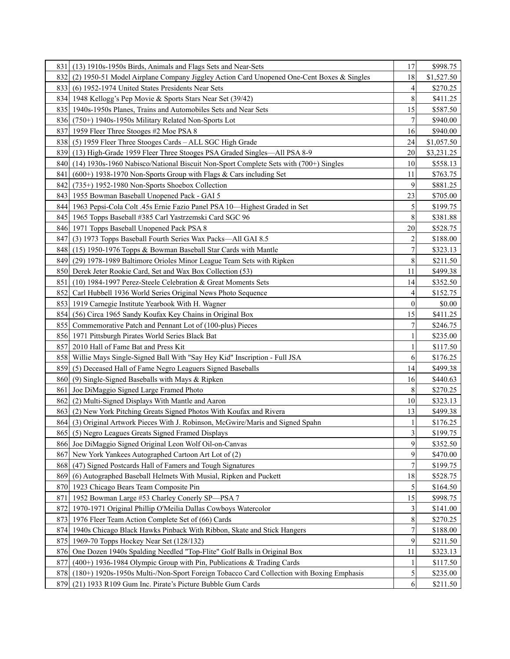| 8311 | (13) 1910s-1950s Birds, Animals and Flags Sets and Near-Sets                                 | 17                      | \$998.75   |
|------|----------------------------------------------------------------------------------------------|-------------------------|------------|
| 8321 | (2) 1950-51 Model Airplane Company Jiggley Action Card Unopened One-Cent Boxes & Singles     | 18                      | \$1,527.50 |
| 833  | (6) 1952-1974 United States Presidents Near Sets                                             | 4                       | \$270.25   |
|      | 834 1948 Kellogg's Pep Movie & Sports Stars Near Set (39/42)                                 | 8                       | \$411.25   |
|      | 835   1940s-1950s Planes, Trains and Automobiles Sets and Near Sets                          | 15                      | \$587.50   |
|      | 836 (750+) 1940s-1950s Military Related Non-Sports Lot                                       |                         | \$940.00   |
| 8371 | 1959 Fleer Three Stooges #2 Moe PSA 8                                                        | 16                      | \$940.00   |
| 8381 | (5) 1959 Fleer Three Stooges Cards – ALL SGC High Grade                                      | 24                      | \$1,057.50 |
| 8391 | (13) High-Grade 1959 Fleer Three Stooges PSA Graded Singles-All PSA 8-9                      | 20                      | \$3,231.25 |
| 8401 | (14) 1930s-1960 Nabisco/National Biscuit Non-Sport Complete Sets with (700+) Singles         | 10                      | \$558.13   |
| 8411 | $(600+)$ 1938-1970 Non-Sports Group with Flags & Cars including Set                          | 11                      | \$763.75   |
| 8421 | (735+) 1952-1980 Non-Sports Shoebox Collection                                               | 9                       | \$881.25   |
|      | 843 1955 Bowman Baseball Unopened Pack - GAI 5                                               | 23                      | \$705.00   |
|      | 844   1963 Pepsi-Cola Colt .45s Ernie Fazio Panel PSA 10—Highest Graded in Set               | 5                       | \$199.75   |
|      | 845   1965 Topps Baseball #385 Carl Yastrzemski Card SGC 96                                  | 8                       | \$381.88   |
|      | 846 1971 Topps Baseball Unopened Pack PSA 8                                                  | 20                      | \$528.75   |
| 8471 | (3) 1973 Topps Baseball Fourth Series Wax Packs-All GAI 8.5                                  | 2                       | \$188.00   |
|      | 848 (15) 1950-1976 Topps & Bowman Baseball Star Cards with Mantle                            | 7                       | \$323.13   |
| 8491 | (29) 1978-1989 Baltimore Orioles Minor League Team Sets with Ripken                          | 8                       | \$211.50   |
|      | 850 Derek Jeter Rookie Card, Set and Wax Box Collection (53)                                 | 11                      | \$499.38   |
| 851  | (10) 1984-1997 Perez-Steele Celebration & Great Moments Sets                                 | 14                      | \$352.50   |
| 852  | Carl Hubbell 1936 World Series Original News Photo Sequence                                  | 4                       | \$152.75   |
|      | 853 1919 Carnegie Institute Yearbook With H. Wagner                                          | $\boldsymbol{0}$        | \$0.00     |
| 8541 | (56) Circa 1965 Sandy Koufax Key Chains in Original Box                                      | 15                      | \$411.25   |
|      | 855 Commemorative Patch and Pennant Lot of (100-plus) Pieces                                 |                         | \$246.75   |
|      | 856 1971 Pittsburgh Pirates World Series Black Bat                                           |                         | \$235.00   |
| 857  | 2010 Hall of Fame Bat and Press Kit                                                          |                         | \$117.50   |
|      | 858   Willie Mays Single-Signed Ball With "Say Hey Kid" Inscription - Full JSA               | 6                       | \$176.25   |
|      | 859 (5) Deceased Hall of Fame Negro Leaguers Signed Baseballs                                | 14                      | \$499.38   |
|      | 860 (9) Single-Signed Baseballs with Mays & Ripken                                           | 16                      | \$440.63   |
| 861  | Joe DiMaggio Signed Large Framed Photo                                                       | 8                       | \$270.25   |
| 862  | (2) Multi-Signed Displays With Mantle and Aaron                                              | 10                      | \$323.13   |
| 8631 | (2) New York Pitching Greats Signed Photos With Koufax and Rivera                            | 13                      | \$499.38   |
|      | 864 (3) Original Artwork Pieces With J. Robinson, McGwire/Maris and Signed Spahn             |                         | \$176.25   |
|      | 865 (5) Negro Leagues Greats Signed Framed Displays                                          | $\overline{\mathbf{3}}$ | \$199.75   |
|      | 866 Joe DiMaggio Signed Original Leon Wolf Oil-on-Canvas                                     | 9                       | \$352.50   |
| 8671 | New York Yankees Autographed Cartoon Art Lot of (2)                                          | 9                       | \$470.00   |
| 868  | (47) Signed Postcards Hall of Famers and Tough Signatures                                    |                         | \$199.75   |
| 8691 | (6) Autographed Baseball Helmets With Musial, Ripken and Puckett                             | 18                      | \$528.75   |
|      | 870 1923 Chicago Bears Team Composite Pin                                                    | 5                       | \$164.50   |
| 871  | 1952 Bowman Large #53 Charley Conerly SP-PSA 7                                               | 15                      | \$998.75   |
| 872  | 1970-1971 Original Phillip O'Meilia Dallas Cowboys Watercolor                                | 3                       | \$141.00   |
|      | 873 1976 Fleer Team Action Complete Set of (66) Cards                                        | 8                       | \$270.25   |
| 874  | 1940s Chicago Black Hawks Pinback With Ribbon, Skate and Stick Hangers                       |                         | \$188.00   |
| 8751 | 1969-70 Topps Hockey Near Set (128/132)                                                      | 9                       | \$211.50   |
| 876  | One Dozen 1940s Spalding Needled "Top-Flite" Golf Balls in Original Box                      | 11                      | \$323.13   |
| 877  | $(400+)$ 1936-1984 Olympic Group with Pin, Publications & Trading Cards                      |                         | \$117.50   |
|      | 878 (180+) 1920s-1950s Multi-/Non-Sport Foreign Tobacco Card Collection with Boxing Emphasis | 5                       | \$235.00   |
| 8791 | (21) 1933 R109 Gum Inc. Pirate's Picture Bubble Gum Cards                                    | 6                       | \$211.50   |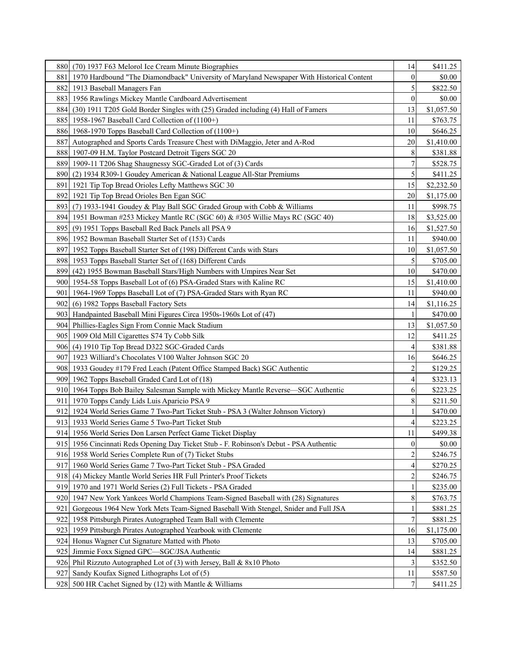| 880   | (70) 1937 F63 Melorol Ice Cream Minute Biographies                                        | 14             | \$411.25   |
|-------|-------------------------------------------------------------------------------------------|----------------|------------|
| 881   | 1970 Hardbound "The Diamondback" University of Maryland Newspaper With Historical Content | $\theta$       | \$0.00     |
| 882   | 1913 Baseball Managers Fan                                                                | 5              | \$822.50   |
| 883   | 1956 Rawlings Mickey Mantle Cardboard Advertisement                                       | $\mathbf{0}$   | \$0.00     |
|       | 884 (30) 1911 T205 Gold Border Singles with (25) Graded including (4) Hall of Famers      | 13             | \$1,057.50 |
| 8851  | 1958-1967 Baseball Card Collection of (1100+)                                             | 11             | \$763.75   |
| 886   | 1968-1970 Topps Baseball Card Collection of (1100+)                                       | 10             | \$646.25   |
| 887   | Autographed and Sports Cards Treasure Chest with DiMaggio, Jeter and A-Rod                | 20             | \$1,410.00 |
| 888   | 1907-09 H.M. Taylor Postcard Detroit Tigers SGC 20                                        | 8              | \$381.88   |
| 889   | 1909-11 T206 Shag Shaugnessy SGC-Graded Lot of (3) Cards                                  | 7              | \$528.75   |
| 890   | (2) 1934 R309-1 Goudey American & National League All-Star Premiums                       | 5              | \$411.25   |
| 891   | 1921 Tip Top Bread Orioles Lefty Matthews SGC 30                                          | 15             | \$2,232.50 |
| 892   | 1921 Tip Top Bread Orioles Ben Egan SGC                                                   | 20             | \$1,175.00 |
|       | 893 (7) 1933-1941 Goudey & Play Ball SGC Graded Group with Cobb & Williams                | 11             | \$998.75   |
|       | 894 1951 Bowman #253 Mickey Mantle RC (SGC 60) & #305 Willie Mays RC (SGC 40)             | 18             | \$3,525.00 |
| 8951  | (9) 1951 Topps Baseball Red Back Panels all PSA 9                                         | 16             | \$1,527.50 |
|       | 896 1952 Bowman Baseball Starter Set of (153) Cards                                       | 11             | \$940.00   |
| 897   | 1952 Topps Baseball Starter Set of (198) Different Cards with Stars                       | 10             | \$1,057.50 |
|       | 898 1953 Topps Baseball Starter Set of (168) Different Cards                              | 5              | \$705.00   |
| 8991  | (42) 1955 Bowman Baseball Stars/High Numbers with Umpires Near Set                        | 10             | \$470.00   |
| 900I  | 1954-58 Topps Baseball Lot of (6) PSA-Graded Stars with Kaline RC                         | 15             | \$1,410.00 |
| 901   | 1964-1969 Topps Baseball Lot of (7) PSA-Graded Stars with Ryan RC                         | 11             | \$940.00   |
| 902I  | (6) 1982 Topps Baseball Factory Sets                                                      | 14             | \$1,116.25 |
|       | 903 Handpainted Baseball Mini Figures Circa 1950s-1960s Lot of (47)                       | 1              | \$470.00   |
|       | 904 Phillies-Eagles Sign From Connie Mack Stadium                                         | 13             | \$1,057.50 |
| 905 I | 1909 Old Mill Cigarettes S74 Ty Cobb Silk                                                 | 12             | \$411.25   |
| 906I  | (4) 1910 Tip Top Bread D322 SGC-Graded Cards                                              | 4              | \$381.88   |
| 907   | 1923 Williard's Chocolates V100 Walter Johnson SGC 20                                     | 16             | \$646.25   |
|       | 908   1933 Goudey #179 Fred Leach (Patent Office Stamped Back) SGC Authentic              | $\overline{2}$ | \$129.25   |
|       | 909 1962 Topps Baseball Graded Card Lot of (18)                                           | 4              | \$323.13   |
|       | 910 1964 Topps Bob Bailey Salesman Sample with Mickey Mantle Reverse—SGC Authentic        | 6              | \$223.25   |
| 911   | 1970 Topps Candy Lids Luis Aparicio PSA 9                                                 | 8              | \$211.50   |
| 912I  | 1924 World Series Game 7 Two-Part Ticket Stub - PSA 3 (Walter Johnson Victory)            |                | \$470.00   |
|       | 913 1933 World Series Game 5 Two-Part Ticket Stub                                         | 4              | \$223.25   |
|       | 914 1956 World Series Don Larsen Perfect Game Ticket Display                              | 11             | \$499.38   |
|       | 915 1956 Cincinnati Reds Opening Day Ticket Stub - F. Robinson's Debut - PSA Authentic    | $\mathbf{0}$   | \$0.00     |
|       | 916 1958 World Series Complete Run of (7) Ticket Stubs                                    |                | \$246.75   |
|       | 917 1960 World Series Game 7 Two-Part Ticket Stub - PSA Graded                            |                | \$270.25   |
|       | 918 (4) Mickey Mantle World Series HR Full Printer's Proof Tickets                        |                | \$246.75   |
| 9191  | 1970 and 1971 World Series (2) Full Tickets - PSA Graded                                  |                | \$235.00   |
| 920   | 1947 New York Yankees World Champions Team-Signed Baseball with (28) Signatures           | 8              | \$763.75   |
| 921   | Gorgeous 1964 New York Mets Team-Signed Baseball With Stengel, Snider and Full JSA        |                | \$881.25   |
| 922   | 1958 Pittsburgh Pirates Autographed Team Ball with Clemente                               | 7              | \$881.25   |
| 923   | 1959 Pittsburgh Pirates Autographed Yearbook with Clemente                                | 16             | \$1,175.00 |
|       | 924 Honus Wagner Cut Signature Matted with Photo                                          | 13             | \$705.00   |
| 925   | Jimmie Foxx Signed GPC-SGC/JSA Authentic                                                  | 14             | \$881.25   |
|       | 926 Phil Rizzuto Autographed Lot of (3) with Jersey, Ball & 8x10 Photo                    |                | \$352.50   |
| 927   | Sandy Koufax Signed Lithographs Lot of (5)                                                | 11             | \$587.50   |
|       | 928 500 HR Cachet Signed by (12) with Mantle & Williams                                   | 7              | \$411.25   |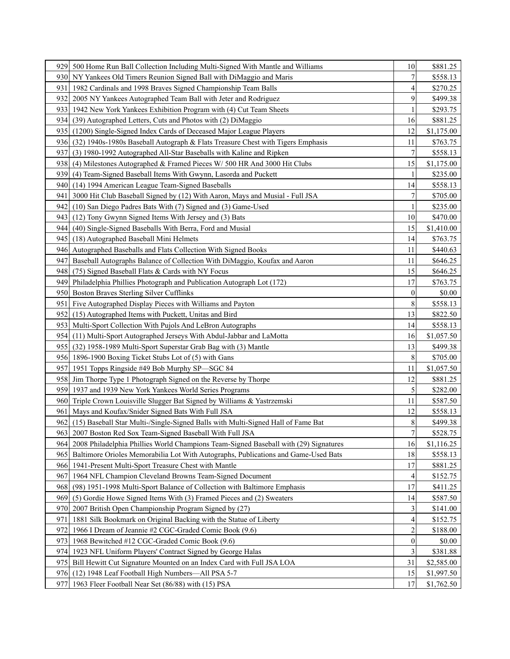| 9291  | 500 Home Run Ball Collection Including Multi-Signed With Mantle and Williams             | 10               | \$881.25   |
|-------|------------------------------------------------------------------------------------------|------------------|------------|
| 930I  | NY Yankees Old Timers Reunion Signed Ball with DiMaggio and Maris                        | 7                | \$558.13   |
| 931   | 1982 Cardinals and 1998 Braves Signed Championship Team Balls                            | 4                | \$270.25   |
| 932   | 2005 NY Yankees Autographed Team Ball with Jeter and Rodriguez                           | 9                | \$499.38   |
| 933   | 1942 New York Yankees Exhibition Program with (4) Cut Team Sheets                        |                  | \$293.75   |
| 934 I | (39) Autographed Letters, Cuts and Photos with (2) DiMaggio                              | 16               | \$881.25   |
| 9351  | (1200) Single-Signed Index Cards of Deceased Major League Players                        | 12               | \$1,175.00 |
| 936I  | $(32)$ 1940s-1980s Baseball Autograph & Flats Treasure Chest with Tigers Emphasis        | 11               | \$763.75   |
| 937   | (3) 1980-1992 Autographed All-Star Baseballs with Kaline and Ripken                      | 7                | \$558.13   |
|       | 938 (4) Milestones Autographed & Framed Pieces W/ 500 HR And 3000 Hit Clubs              | 15               | \$1,175.00 |
| 9391  | (4) Team-Signed Baseball Items With Gwynn, Lasorda and Puckett                           | 1                | \$235.00   |
| 940   | (14) 1994 American League Team-Signed Baseballs                                          | 14               | \$558.13   |
| 941   | 3000 Hit Club Baseball Signed by (12) With Aaron, Mays and Musial - Full JSA             |                  | \$705.00   |
| 9421  | (10) San Diego Padres Bats With (7) Signed and (3) Game-Used                             |                  | \$235.00   |
| 9431  | (12) Tony Gwynn Signed Items With Jersey and (3) Bats                                    | 10               | \$470.00   |
| 9441  | (40) Single-Signed Baseballs With Berra, Ford and Musial                                 | 15               | \$1,410.00 |
| 9451  | (18) Autographed Baseball Mini Helmets                                                   | 14               | \$763.75   |
|       | 946 Autographed Baseballs and Flats Collection With Signed Books                         | 11               | \$440.63   |
| 947   | Baseball Autographs Balance of Collection With DiMaggio, Koufax and Aaron                | 11               | \$646.25   |
| 948   | (75) Signed Baseball Flats & Cards with NY Focus                                         | 15               | \$646.25   |
| 949   | Philadelphia Phillies Photograph and Publication Autograph Lot (172)                     | 17               | \$763.75   |
| 950   | Boston Braves Sterling Silver Cufflinks                                                  | $\theta$         | \$0.00     |
| 951   | Five Autographed Display Pieces with Williams and Payton                                 | 8                | \$558.13   |
|       | 952 (15) Autographed Items with Puckett, Unitas and Bird                                 | 13               | \$822.50   |
|       | 953 Multi-Sport Collection With Pujols And LeBron Autographs                             | 14               | \$558.13   |
| 954I  | (11) Multi-Sport Autographed Jerseys With Abdul-Jabbar and LaMotta                       | 16               | \$1,057.50 |
| 955 I | (32) 1958-1989 Multi-Sport Superstar Grab Bag with (3) Mantle                            | 13               | \$499.38   |
|       | 956 1896-1900 Boxing Ticket Stubs Lot of (5) with Gans                                   | 8                | \$705.00   |
|       | 957 1951 Topps Ringside #49 Bob Murphy SP—SGC 84                                         | 11               | \$1,057.50 |
|       | 958 Jim Thorpe Type 1 Photograph Signed on the Reverse by Thorpe                         | 12               | \$881.25   |
| 959   | 1937 and 1939 New York Yankees World Series Programs                                     | 5                | \$282.00   |
| 960I  | Triple Crown Louisville Slugger Bat Signed by Williams & Yastrzemski                     | 11               | \$587.50   |
| 961   | Mays and Koufax/Snider Signed Bats With Full JSA                                         | 12               | \$558.13   |
|       | 962 (15) Baseball Star Multi-/Single-Signed Balls with Multi-Signed Hall of Fame Bat     | 8                | \$499.38   |
|       | 963 2007 Boston Red Sox Team-Signed Baseball With Full JSA                               | $\overline{7}$   | \$528.75   |
|       | 964 2008 Philadelphia Phillies World Champions Team-Signed Baseball with (29) Signatures | 16               | \$1,116.25 |
|       | 965 Baltimore Orioles Memorabilia Lot With Autographs, Publications and Game-Used Bats   | 18               | \$558.13   |
|       | 966 1941-Present Multi-Sport Treasure Chest with Mantle                                  | 17               | \$881.25   |
| 967   | 1964 NFL Champion Cleveland Browns Team-Signed Document                                  | 4                | \$152.75   |
| 968   | (98) 1951-1998 Multi-Sport Balance of Collection with Baltimore Emphasis                 | 17               | \$411.25   |
| 969   | (5) Gordie Howe Signed Items With (3) Framed Pieces and (2) Sweaters                     | 14               | \$587.50   |
| 9701  | 2007 British Open Championship Program Signed by (27)                                    |                  | \$141.00   |
| 971   | 1881 Silk Bookmark on Original Backing with the Statue of Liberty                        | 4                | \$152.75   |
| 972   | 1966 I Dream of Jeannie #2 CGC-Graded Comic Book (9.6)                                   | 2                | \$188.00   |
| 973   | 1968 Bewitched #12 CGC-Graded Comic Book (9.6)                                           | $\boldsymbol{0}$ | \$0.00     |
| 974   | 1923 NFL Uniform Players' Contract Signed by George Halas                                | 3                | \$381.88   |
| 975   | Bill Hewitt Cut Signature Mounted on an Index Card with Full JSA LOA                     | 31               | \$2,585.00 |
|       | 976 (12) 1948 Leaf Football High Numbers—All PSA 5-7                                     | 15               | \$1,997.50 |
| 977   | 1963 Fleer Football Near Set (86/88) with (15) PSA                                       | 17               | \$1,762.50 |